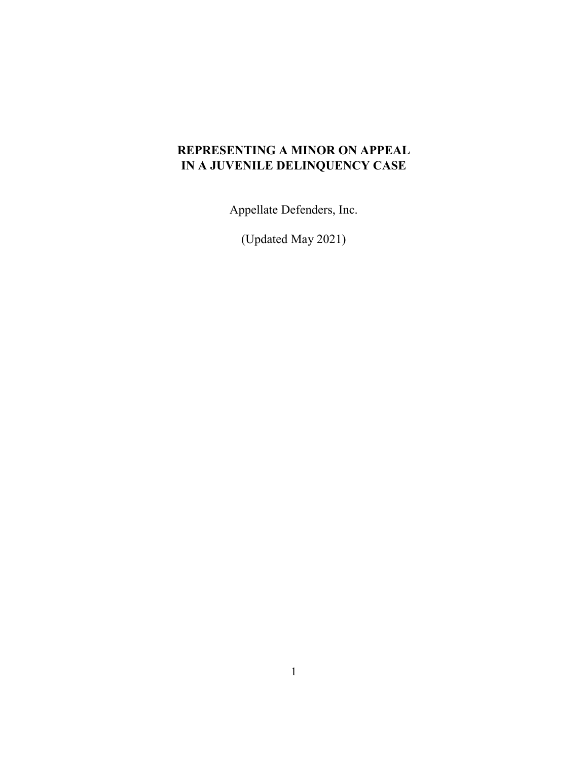# **REPRESENTING A MINOR ON APPEAL IN A JUVENILE DELINQUENCY CASE**

Appellate Defenders, Inc.

(Updated May 2021)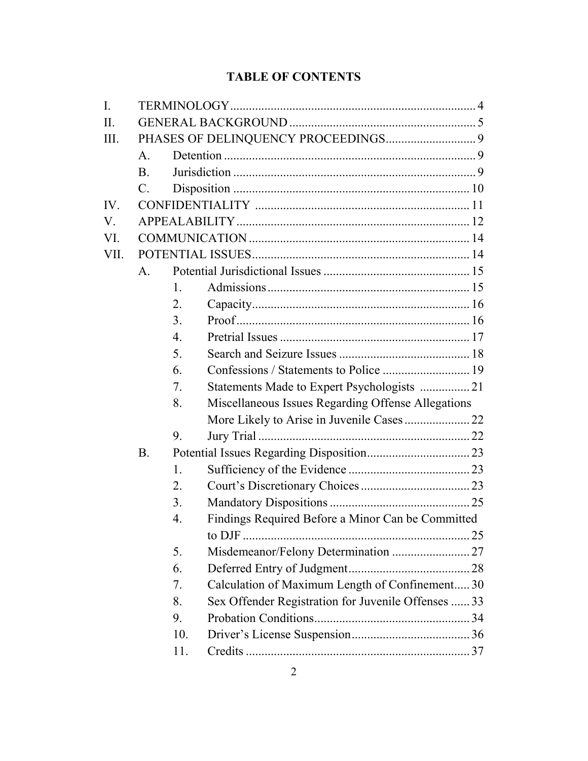# **TABLE OF CONTENTS**

| I.   |                |                  |                                                     |  |  |  |
|------|----------------|------------------|-----------------------------------------------------|--|--|--|
| II.  |                |                  |                                                     |  |  |  |
| III. |                |                  |                                                     |  |  |  |
|      | $\mathsf{A}$ . |                  |                                                     |  |  |  |
|      | <b>B.</b>      |                  |                                                     |  |  |  |
|      | $\mathbf{C}$ . |                  |                                                     |  |  |  |
| IV.  |                |                  |                                                     |  |  |  |
| V.   |                |                  |                                                     |  |  |  |
| VI.  |                |                  |                                                     |  |  |  |
| VII. |                |                  |                                                     |  |  |  |
|      | A.             |                  |                                                     |  |  |  |
|      |                | 1.               |                                                     |  |  |  |
|      |                | 2.               |                                                     |  |  |  |
|      |                | 3.               |                                                     |  |  |  |
|      |                | $\overline{4}$ . |                                                     |  |  |  |
|      |                | 5.               |                                                     |  |  |  |
|      |                | 6.               | Confessions / Statements to Police  19              |  |  |  |
|      |                | 7.               | Statements Made to Expert Psychologists  21         |  |  |  |
|      |                | 8.               | Miscellaneous Issues Regarding Offense Allegations  |  |  |  |
|      |                |                  |                                                     |  |  |  |
|      |                | 9.               |                                                     |  |  |  |
|      | <b>B.</b>      |                  |                                                     |  |  |  |
|      |                | 1.               |                                                     |  |  |  |
|      |                | 2.               |                                                     |  |  |  |
|      |                | 3.               |                                                     |  |  |  |
|      |                | 4.               | Findings Required Before a Minor Can be Committed   |  |  |  |
|      |                |                  |                                                     |  |  |  |
|      |                | 5.               |                                                     |  |  |  |
|      |                | 6.               |                                                     |  |  |  |
|      |                | 7.               | Calculation of Maximum Length of Confinement 30     |  |  |  |
|      |                | 8.               | Sex Offender Registration for Juvenile Offenses  33 |  |  |  |
|      |                | 9.               |                                                     |  |  |  |
|      |                | 10.              |                                                     |  |  |  |
|      |                | 11.              |                                                     |  |  |  |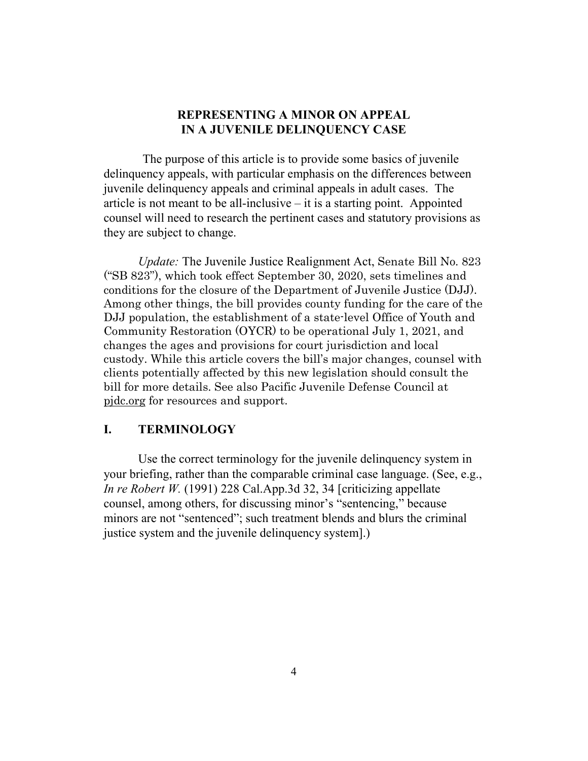## **REPRESENTING A MINOR ON APPEAL IN A JUVENILE DELINQUENCY CASE**

The purpose of this article is to provide some basics of juvenile delinquency appeals, with particular emphasis on the differences between juvenile delinquency appeals and criminal appeals in adult cases. The article is not meant to be all-inclusive  $-$  it is a starting point. Appointed counsel will need to research the pertinent cases and statutory provisions as they are subject to change.

*Update:* The Juvenile Justice Realignment Act, Senate Bill No. 823 ("SB 823"), which took effect September 30, 2020, sets timelines and conditions for the closure of the Department of Juvenile Justice (DJJ). Among other things, the bill provides county funding for the care of the DJJ population, the establishment of a state-level Office of Youth and Community Restoration (OYCR) to be operational July 1, 2021, and changes the ages and provisions for court jurisdiction and local custody. While this article covers the bill's major changes, counsel with clients potentially affected by this new legislation should consult the bill for more details. See also Pacific Juvenile Defense Council at [pjdc.org](file://AD01/DATA/VOL1/WORD/Website/Juvenile%20Appeals/Juvenile%20Delinquency/pjdc.org) for resources and support.

### **I. TERMINOLOGY**

Use the correct terminology for the juvenile delinquency system in your briefing, rather than the comparable criminal case language. (See, e.g., *In re Robert W.* (1991) 228 Cal.App.3d 32, 34 [criticizing appellate counsel, among others, for discussing minor's "sentencing," because minors are not "sentenced"; such treatment blends and blurs the criminal justice system and the juvenile delinquency system].)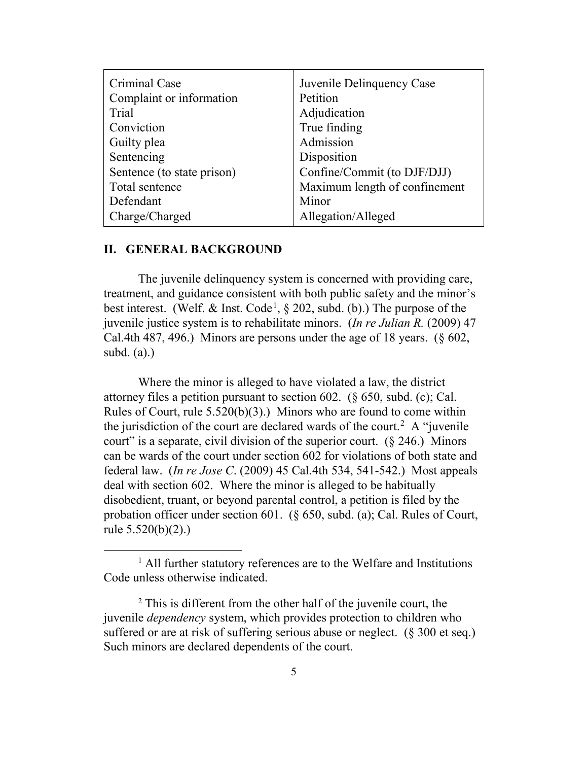| Criminal Case              | Juvenile Delinquency Case     |
|----------------------------|-------------------------------|
| Complaint or information   | Petition                      |
| Trial                      | Adjudication                  |
| Conviction                 | True finding                  |
| Guilty plea                | Admission                     |
| Sentencing                 | Disposition                   |
| Sentence (to state prison) | Confine/Commit (to DJF/DJJ)   |
| Total sentence             | Maximum length of confinement |
| Defendant                  | Minor                         |
| Charge/Charged             | Allegation/Alleged            |

### **II. GENERAL BACKGROUND**

The juvenile delinquency system is concerned with providing care, treatment, and guidance consistent with both public safety and the minor's best interest. (Welf. & Inst. Code<sup>[1](#page-4-0)</sup>,  $\S$  202, subd. (b).) The purpose of the juvenile justice system is to rehabilitate minors. (*In re Julian R.* (2009) 47 Cal.4th 487, 496.) Minors are persons under the age of 18 years. (§ 602, subd. (a).)

Where the minor is alleged to have violated a law, the district attorney files a petition pursuant to section 602. (§ 650, subd. (c); Cal. Rules of Court, rule 5.520(b)(3).) Minors who are found to come within the jurisdiction of the court are declared wards of the court.<sup>[2](#page-4-1)</sup> A "juvenile" court" is a separate, civil division of the superior court.  $(\S$  246.) Minors can be wards of the court under section 602 for violations of both state and federal law. (*In re Jose C*. (2009) 45 Cal.4th 534, 541-542.) Most appeals deal with section 602. Where the minor is alleged to be habitually disobedient, truant, or beyond parental control, a petition is filed by the probation officer under section 601. (§ 650, subd. (a); Cal. Rules of Court, rule 5.520(b)(2).)

<span id="page-4-0"></span><sup>&</sup>lt;sup>1</sup> All further statutory references are to the Welfare and Institutions Code unless otherwise indicated.

<span id="page-4-1"></span> $2$  This is different from the other half of the juvenile court, the juvenile *dependency* system, which provides protection to children who suffered or are at risk of suffering serious abuse or neglect. (§ 300 et seq.) Such minors are declared dependents of the court.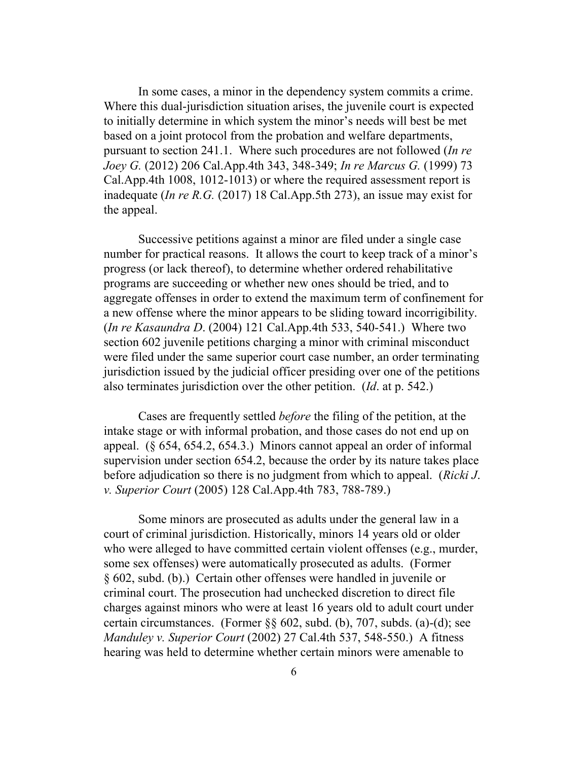In some cases, a minor in the dependency system commits a crime. Where this dual-jurisdiction situation arises, the juvenile court is expected to initially determine in which system the minor's needs will best be met based on a joint protocol from the probation and welfare departments, pursuant to section 241.1. Where such procedures are not followed (*In re Joey G.* (2012) 206 Cal.App.4th 343, 348-349; *In re Marcus G.* (1999) 73 Cal.App.4th 1008, 1012-1013) or where the required assessment report is inadequate (*In re R.G.* (2017) 18 Cal.App.5th 273), an issue may exist for the appeal.

Successive petitions against a minor are filed under a single case number for practical reasons. It allows the court to keep track of a minor's progress (or lack thereof), to determine whether ordered rehabilitative programs are succeeding or whether new ones should be tried, and to aggregate offenses in order to extend the maximum term of confinement for a new offense where the minor appears to be sliding toward incorrigibility. (*In re Kasaundra D*. (2004) 121 Cal.App.4th 533, 540-541.) Where two section 602 juvenile petitions charging a minor with criminal misconduct were filed under the same superior court case number, an order terminating jurisdiction issued by the judicial officer presiding over one of the petitions also terminates jurisdiction over the other petition. (*Id*. at p. 542.)

Cases are frequently settled *before* the filing of the petition, at the intake stage or with informal probation, and those cases do not end up on appeal. (§ 654, 654.2, 654.3.) Minors cannot appeal an order of informal supervision under section 654.2, because the order by its nature takes place before adjudication so there is no judgment from which to appeal. (*Ricki J*. *v. Superior Court* (2005) 128 Cal.App.4th 783, 788-789.)

Some minors are prosecuted as adults under the general law in a court of criminal jurisdiction. Historically, minors 14 years old or older who were alleged to have committed certain violent offenses (e.g., murder, some sex offenses) were automatically prosecuted as adults. (Former § 602, subd. (b).) Certain other offenses were handled in juvenile or criminal court. The prosecution had unchecked discretion to direct file charges against minors who were at least 16 years old to adult court under certain circumstances. (Former §§ 602, subd. (b), 707, subds. (a)-(d); see *Manduley v. Superior Court* (2002) 27 Cal.4th 537, 548-550.) A fitness hearing was held to determine whether certain minors were amenable to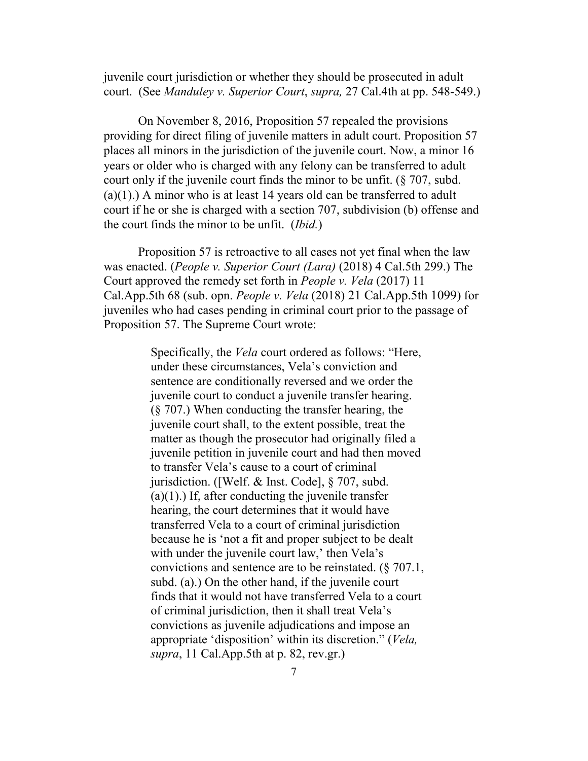juvenile court jurisdiction or whether they should be prosecuted in adult court. (See *Manduley v. Superior Court*, *supra,* 27 Cal.4th at pp. 548-549.)

On November 8, 2016, Proposition 57 repealed the provisions providing for direct filing of juvenile matters in adult court. Proposition 57 places all minors in the jurisdiction of the juvenile court. Now, a minor 16 years or older who is charged with any felony can be transferred to adult court only if the juvenile court finds the minor to be unfit. (§ 707, subd.  $(a)(1)$ .) A minor who is at least 14 years old can be transferred to adult court if he or she is charged with a section 707, subdivision (b) offense and the court finds the minor to be unfit. (*Ibid.*)

Proposition 57 is retroactive to all cases not yet final when the law was enacted. (*People v. Superior Court (Lara)* (2018) 4 Cal.5th 299.) The Court approved the remedy set forth in *People v. Vela* (2017) 11 Cal.App.5th 68 (sub. opn. *People v. Vela* (2018) 21 Cal.App.5th 1099) for juveniles who had cases pending in criminal court prior to the passage of Proposition 57. The Supreme Court wrote:

> Specifically, the *Vela* court ordered as follows: "Here, under these circumstances, Vela's conviction and sentence are conditionally reversed and we order the juvenile court to conduct a juvenile transfer hearing. (§ 707.) When conducting the transfer hearing, the juvenile court shall, to the extent possible, treat the matter as though the prosecutor had originally filed a juvenile petition in juvenile court and had then moved to transfer Vela's cause to a court of criminal jurisdiction. ([Welf. & Inst. Code], § 707, subd.  $(a)(1)$ .) If, after conducting the juvenile transfer hearing, the court determines that it would have transferred Vela to a court of criminal jurisdiction because he is 'not a fit and proper subject to be dealt with under the juvenile court law,' then Vela's convictions and sentence are to be reinstated. (§ 707.1, subd. (a).) On the other hand, if the juvenile court finds that it would not have transferred Vela to a court of criminal jurisdiction, then it shall treat Vela's convictions as juvenile adjudications and impose an appropriate 'disposition' within its discretion." (*Vela, supra*, 11 Cal.App.5th at p. 82, rev.gr.)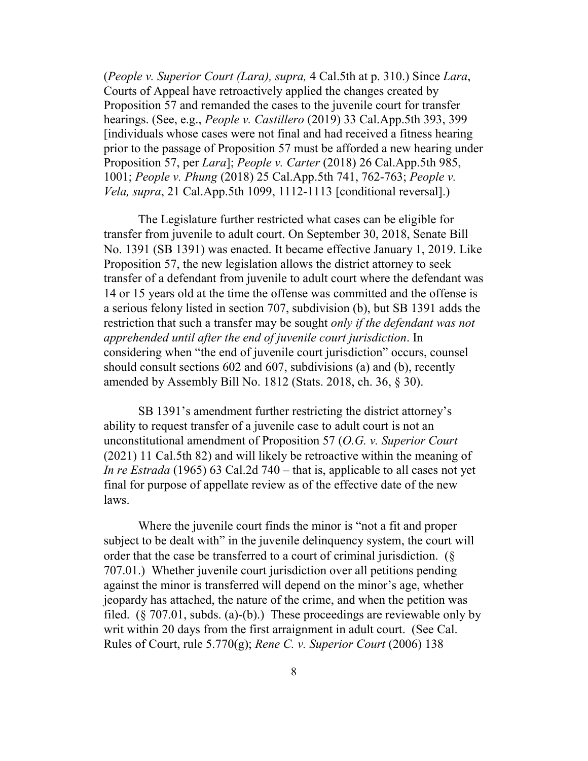(*People v. Superior Court (Lara), supra,* 4 Cal.5th at p. 310.) Since *Lara*, Courts of Appeal have retroactively applied the changes created by Proposition 57 and remanded the cases to the juvenile court for transfer hearings. (See, e.g., *People v. Castillero* (2019) 33 Cal.App.5th 393, 399 [individuals whose cases were not final and had received a fitness hearing prior to the passage of Proposition 57 must be afforded a new hearing under Proposition 57, per *Lara*]; *People v. Carter* (2018) 26 Cal.App.5th 985, 1001; *People v. Phung* (2018) 25 Cal.App.5th 741, 762-763; *People v. Vela, supra*, 21 Cal.App.5th 1099, 1112-1113 [conditional reversal].)

The Legislature further restricted what cases can be eligible for transfer from juvenile to adult court. On September 30, 2018, Senate Bill No. 1391 (SB 1391) was enacted. It became effective January 1, 2019. Like Proposition 57, the new legislation allows the district attorney to seek transfer of a defendant from juvenile to adult court where the defendant was 14 or 15 years old at the time the offense was committed and the offense is a serious felony listed in section 707, subdivision (b), but SB 1391 adds the restriction that such a transfer may be sought *only if the defendant was not apprehended until after the end of juvenile court jurisdiction*. In considering when "the end of juvenile court jurisdiction" occurs, counsel should consult sections 602 and 607, subdivisions (a) and (b), recently amended by Assembly Bill No. 1812 (Stats. 2018, ch. 36, § 30).

SB 1391's amendment further restricting the district attorney's ability to request transfer of a juvenile case to adult court is not an unconstitutional amendment of Proposition 57 (*O.G. v. Superior Court* (2021) 11 Cal.5th 82) and will likely be retroactive within the meaning of *In re Estrada* (1965) 63 Cal.2d 740 – that is, applicable to all cases not yet final for purpose of appellate review as of the effective date of the new laws.

Where the juvenile court finds the minor is "not a fit and proper subject to be dealt with" in the juvenile delinquency system, the court will order that the case be transferred to a court of criminal jurisdiction. (§ 707.01.) Whether juvenile court jurisdiction over all petitions pending against the minor is transferred will depend on the minor's age, whether jeopardy has attached, the nature of the crime, and when the petition was filed. ( $\S$  707.01, subds. (a)-(b).) These proceedings are reviewable only by writ within 20 days from the first arraignment in adult court. (See Cal. Rules of Court, rule 5.770(g); *Rene C. v. Superior Court* (2006) 138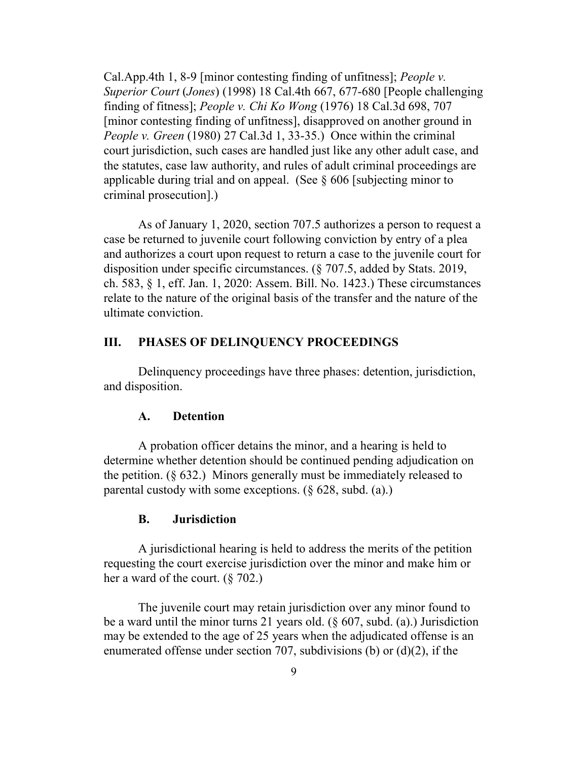Cal.App.4th 1, 8-9 [minor contesting finding of unfitness]; *People v. Superior Court* (*Jones*) (1998) 18 Cal.4th 667, 677-680 [People challenging finding of fitness]; *People v. Chi Ko Wong* (1976) 18 Cal.3d 698, 707 [minor contesting finding of unfitness], disapproved on another ground in *People v. Green* (1980) 27 Cal.3d 1, 33-35.) Once within the criminal court jurisdiction, such cases are handled just like any other adult case, and the statutes, case law authority, and rules of adult criminal proceedings are applicable during trial and on appeal. (See  $\S 606$  [subjecting minor to criminal prosecution].)

As of January 1, 2020, section 707.5 authorizes a person to request a case be returned to juvenile court following conviction by entry of a plea and authorizes a court upon request to return a case to the juvenile court for disposition under specific circumstances. (§ 707.5, added by Stats. 2019, ch. 583, § 1, eff. Jan. 1, 2020: Assem. Bill. No. 1423.) These circumstances relate to the nature of the original basis of the transfer and the nature of the ultimate conviction.

### **III. PHASES OF DELINQUENCY PROCEEDINGS**

Delinquency proceedings have three phases: detention, jurisdiction, and disposition.

### **A. Detention**

A probation officer detains the minor, and a hearing is held to determine whether detention should be continued pending adjudication on the petition.  $(\S$  632.) Minors generally must be immediately released to parental custody with some exceptions. (§ 628, subd. (a).)

#### **B. Jurisdiction**

A jurisdictional hearing is held to address the merits of the petition requesting the court exercise jurisdiction over the minor and make him or her a ward of the court. (§ 702.)

The juvenile court may retain jurisdiction over any minor found to be a ward until the minor turns 21 years old. (§ 607, subd. (a).) Jurisdiction may be extended to the age of 25 years when the adjudicated offense is an enumerated offense under section 707, subdivisions (b) or (d)(2), if the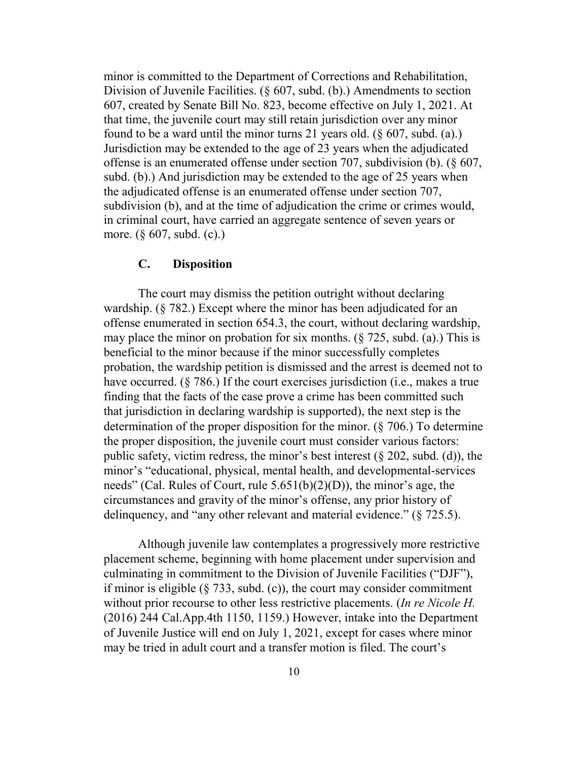minor is committed to the Department of Corrections and Rehabilitation, Division of Juvenile Facilities. (§ 607, subd. (b).) Amendments to section 607, created by Senate Bill No. 823, become effective on July 1, 2021. At that time, the juvenile court may still retain jurisdiction over any minor found to be a ward until the minor turns 21 years old.  $(\S 607, \text{subd.} (a))$ Jurisdiction may be extended to the age of 23 years when the adjudicated offense is an enumerated offense under section 707, subdivision (b). (§ 607, subd. (b).) And jurisdiction may be extended to the age of 25 years when the adjudicated offense is an enumerated offense under section 707, subdivision (b), and at the time of adjudication the crime or crimes would, in criminal court, have carried an aggregate sentence of seven years or more. (§ 607, subd. (c).)

### **C. Disposition**

The court may dismiss the petition outright without declaring wardship. (§ 782.) Except where the minor has been adjudicated for an offense enumerated in section 654.3, the court, without declaring wardship, may place the minor on probation for six months.  $(\S 725, \S 123)$ , This is beneficial to the minor because if the minor successfully completes probation, the wardship petition is dismissed and the arrest is deemed not to have occurred. (§ 786.) If the court exercises jurisdiction (i.e., makes a true finding that the facts of the case prove a crime has been committed such that jurisdiction in declaring wardship is supported), the next step is the determination of the proper disposition for the minor. (§ 706.) To determine the proper disposition, the juvenile court must consider various factors: public safety, victim redress, the minor's best interest  $(\S$  202, subd. (d)), the minor's "educational, physical, mental health, and developmental-services needs" (Cal. Rules of Court, rule 5.651(b)(2)(D)), the minor's age, the circumstances and gravity of the minor's offense, any prior history of delinquency, and "any other relevant and material evidence." (§ 725.5).

Although juvenile law contemplates a progressively more restrictive placement scheme, beginning with home placement under supervision and culminating in commitment to the Division of Juvenile Facilities ("DJF"), if minor is eligible  $(\S 733, \text{subd. (c)})$ , the court may consider commitment without prior recourse to other less restrictive placements. (*In re Nicole H.*  (2016) 244 Cal.App.4th 1150, 1159.) However, intake into the Department of Juvenile Justice will end on July 1, 2021, except for cases where minor may be tried in adult court and a transfer motion is filed. The court's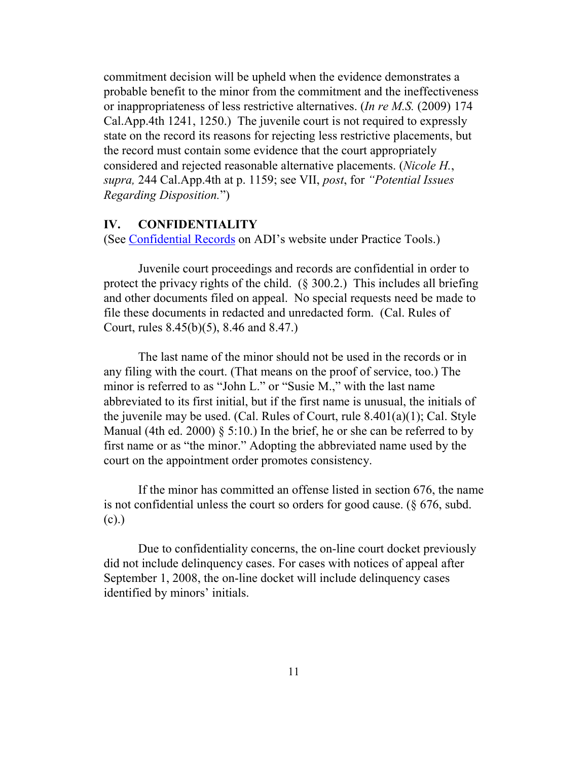commitment decision will be upheld when the evidence demonstrates a probable benefit to the minor from the commitment and the ineffectiveness or inappropriateness of less restrictive alternatives. (*In re M.S.* (2009) 174 Cal.App.4th 1241, 1250.) The juvenile court is not required to expressly state on the record its reasons for rejecting less restrictive placements, but the record must contain some evidence that the court appropriately considered and rejected reasonable alternative placements. (*Nicole H.*, *supra,* 244 Cal.App.4th at p. 1159; see VII, *post*, for *"Potential Issues Regarding Disposition.*")

### **IV. CONFIDENTIALITY**

(See [Confidential Records](http://www.adi-sandiego.com/practice/conf_records.asp) on ADI's website under Practice Tools.)

Juvenile court proceedings and records are confidential in order to protect the privacy rights of the child. (§ 300.2.) This includes all briefing and other documents filed on appeal. No special requests need be made to file these documents in redacted and unredacted form. (Cal. Rules of Court, rules 8.45(b)(5), 8.46 and 8.47.)

The last name of the minor should not be used in the records or in any filing with the court. (That means on the proof of service, too.) The minor is referred to as "John L." or "Susie M.," with the last name abbreviated to its first initial, but if the first name is unusual, the initials of the juvenile may be used. (Cal. Rules of Court, rule 8.401(a)(1); Cal. Style Manual (4th ed. 2000)  $\S$  5:10.) In the brief, he or she can be referred to by first name or as "the minor." Adopting the abbreviated name used by the court on the appointment order promotes consistency.

If the minor has committed an offense listed in section 676, the name is not confidential unless the court so orders for good cause. (§ 676, subd. (c).)

Due to confidentiality concerns, the on-line court docket previously did not include delinquency cases. For cases with notices of appeal after September 1, 2008, the on-line docket will include delinquency cases identified by minors' initials.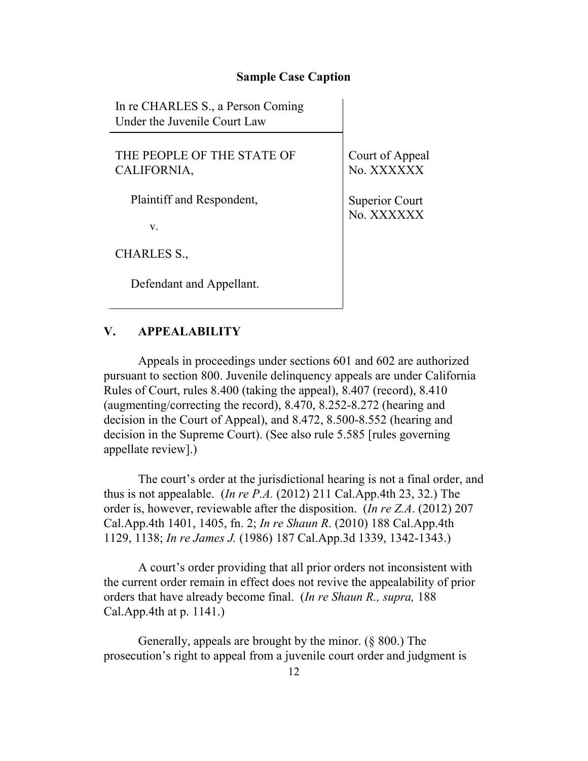#### **Sample Case Caption**

In re CHARLES S., a Person Coming Under the Juvenile Court Law

THE PEOPLE OF THE STATE OF CALIFORNIA,

Plaintiff and Respondent,

v.

CHARLES S.,

Defendant and Appellant.

Court of Appeal No. XXXXXX

Superior Court No. XXXXXX

### **V. APPEALABILITY**

Appeals in proceedings under sections 601 and 602 are authorized pursuant to section 800. Juvenile delinquency appeals are under California Rules of Court, rules 8.400 (taking the appeal), 8.407 (record), 8.410 (augmenting/correcting the record), 8.470, 8.252-8.272 (hearing and decision in the Court of Appeal), and 8.472, 8.500-8.552 (hearing and decision in the Supreme Court). (See also rule 5.585 [rules governing appellate review].)

The court's order at the jurisdictional hearing is not a final order, and thus is not appealable. (*In re P.A.* (2012) 211 Cal.App.4th 23, 32.) The order is, however, reviewable after the disposition. (*In re Z.A*. (2012) 207 Cal.App.4th 1401, 1405, fn. 2; *In re Shaun R*. (2010) 188 Cal.App.4th 1129, 1138; *In re James J.* (1986) 187 Cal.App.3d 1339, 1342-1343.)

A court's order providing that all prior orders not inconsistent with the current order remain in effect does not revive the appealability of prior orders that have already become final. (*In re Shaun R., supra,* 188 Cal.App.4th at p. 1141.)

Generally, appeals are brought by the minor. (§ 800.) The prosecution's right to appeal from a juvenile court order and judgment is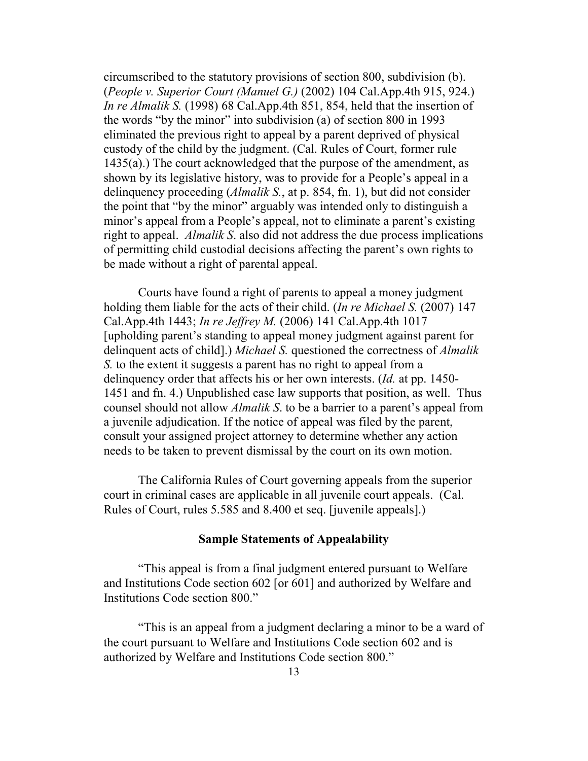circumscribed to the statutory provisions of section 800, subdivision (b). (*People v. Superior Court (Manuel G.)* (2002) 104 Cal.App.4th 915, 924.) *In re Almalik S.* (1998) 68 Cal.App.4th 851, 854, held that the insertion of the words "by the minor" into subdivision (a) of section 800 in 1993 eliminated the previous right to appeal by a parent deprived of physical custody of the child by the judgment. (Cal. Rules of Court, former rule 1435(a).) The court acknowledged that the purpose of the amendment, as shown by its legislative history, was to provide for a People's appeal in a delinquency proceeding (*Almalik S.*, at p. 854, fn. 1), but did not consider the point that "by the minor" arguably was intended only to distinguish a minor's appeal from a People's appeal, not to eliminate a parent's existing right to appeal. *Almalik S*. also did not address the due process implications of permitting child custodial decisions affecting the parent's own rights to be made without a right of parental appeal.

Courts have found a right of parents to appeal a money judgment holding them liable for the acts of their child. (*In re Michael S.* (2007) 147 Cal.App.4th 1443; *In re Jeffrey M.* (2006) 141 Cal.App.4th 1017 [upholding parent's standing to appeal money judgment against parent for delinquent acts of child].) *Michael S.* questioned the correctness of *Almalik S.* to the extent it suggests a parent has no right to appeal from a delinquency order that affects his or her own interests. (*Id.* at pp. 1450- 1451 and fn. 4.) Unpublished case law supports that position, as well. Thus counsel should not allow *Almalik S*. to be a barrier to a parent's appeal from a juvenile adjudication. If the notice of appeal was filed by the parent, consult your assigned project attorney to determine whether any action needs to be taken to prevent dismissal by the court on its own motion.

The California Rules of Court governing appeals from the superior court in criminal cases are applicable in all juvenile court appeals. (Cal. Rules of Court, rules 5.585 and 8.400 et seq. [juvenile appeals].)

### **Sample Statements of Appealability**

"This appeal is from a final judgment entered pursuant to Welfare and Institutions Code section 602 [or 601] and authorized by Welfare and Institutions Code section 800."

"This is an appeal from a judgment declaring a minor to be a ward of the court pursuant to Welfare and Institutions Code section 602 and is authorized by Welfare and Institutions Code section 800."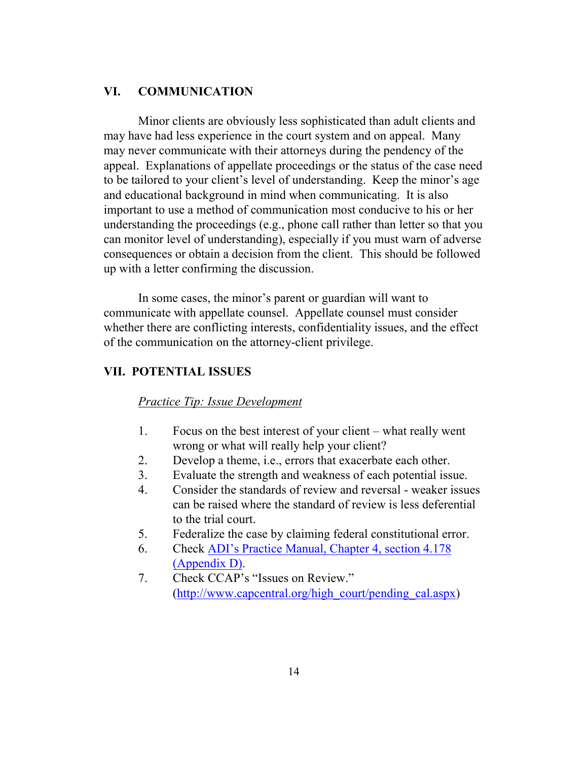# **VI. COMMUNICATION**

Minor clients are obviously less sophisticated than adult clients and may have had less experience in the court system and on appeal. Many may never communicate with their attorneys during the pendency of the appeal. Explanations of appellate proceedings or the status of the case need to be tailored to your client's level of understanding. Keep the minor's age and educational background in mind when communicating. It is also important to use a method of communication most conducive to his or her understanding the proceedings (e.g., phone call rather than letter so that you can monitor level of understanding), especially if you must warn of adverse consequences or obtain a decision from the client. This should be followed up with a letter confirming the discussion.

In some cases, the minor's parent or guardian will want to communicate with appellate counsel. Appellate counsel must consider whether there are conflicting interests, confidentiality issues, and the effect of the communication on the attorney-client privilege.

### **VII. POTENTIAL ISSUES**

#### *Practice Tip: Issue Development*

- 1. Focus on the best interest of your client what really went wrong or what will really help your client?
- 2. Develop a theme, i.e., errors that exacerbate each other.
- 3. Evaluate the strength and weakness of each potential issue.
- 4. Consider the standards of review and reversal weaker issues can be raised where the standard of review is less deferential to the trial court.
- 5. Federalize the case by claiming federal constitutional error.
- 6. Check [ADI's Practice Manual, Chapter 4, section 4.178](http://www.adi-sandiego.com/panel/manual/Chapter_4_Issue_spotting.pdf#202007)  [\(Appendix D\).](http://www.adi-sandiego.com/panel/manual/Chapter_4_Issue_spotting.pdf#202007)
- 7. Check CCAP's "Issues on Review." [\(http://www.capcentral.org/high\\_court/pending\\_cal.aspx\)](http://www.capcentral.org/high_court/pending_cal.aspx)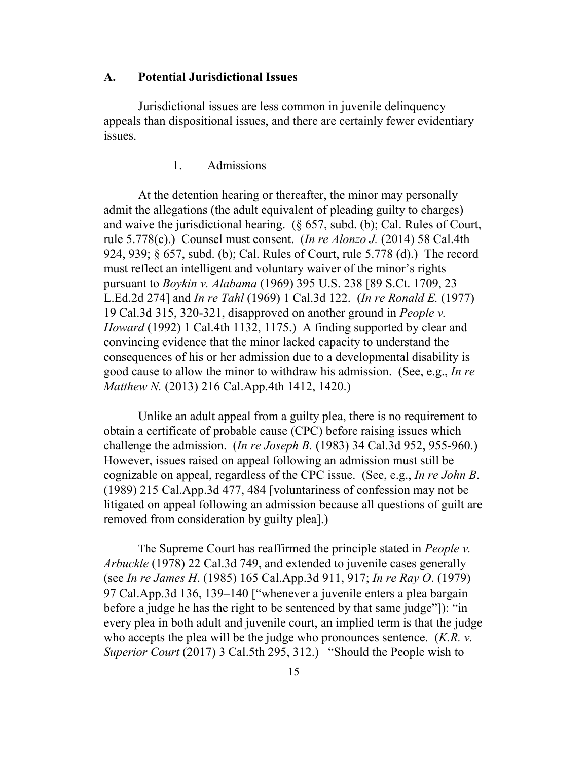#### **A. Potential Jurisdictional Issues**

Jurisdictional issues are less common in juvenile delinquency appeals than dispositional issues, and there are certainly fewer evidentiary issues.

### 1. Admissions

At the detention hearing or thereafter, the minor may personally admit the allegations (the adult equivalent of pleading guilty to charges) and waive the jurisdictional hearing. (§ 657, subd. (b); Cal. Rules of Court, rule 5.778(c).) Counsel must consent. (*In re Alonzo J.* (2014) 58 Cal.4th 924, 939; § 657, subd. (b); Cal. Rules of Court, rule 5.778 (d).) The record must reflect an intelligent and voluntary waiver of the minor's rights pursuant to *Boykin v. Alabama* (1969) 395 U.S. 238 [89 S.Ct. 1709, 23 L.Ed.2d 274] and *In re Tahl* (1969) 1 Cal.3d 122. (*In re Ronald E.* (1977) 19 Cal.3d 315, 320-321, disapproved on another ground in *People v. Howard* (1992) 1 Cal.4th 1132, 1175.) A finding supported by clear and convincing evidence that the minor lacked capacity to understand the consequences of his or her admission due to a developmental disability is good cause to allow the minor to withdraw his admission. (See, e.g., *In re Matthew N.* (2013) 216 Cal.App.4th 1412, 1420.)

Unlike an adult appeal from a guilty plea, there is no requirement to obtain a certificate of probable cause (CPC) before raising issues which challenge the admission. (*In re Joseph B.* (1983) 34 Cal.3d 952, 955-960.) However, issues raised on appeal following an admission must still be cognizable on appeal, regardless of the CPC issue. (See, e.g., *In re John B*. (1989) 215 Cal.App.3d 477, 484 [voluntariness of confession may not be litigated on appeal following an admission because all questions of guilt are removed from consideration by guilty plea].)

The Supreme Court has reaffirmed the principle stated in *People v. Arbuckle* (1978) 22 Cal.3d 749, and extended to juvenile cases generally (see *In re James H*. (1985) 165 Cal.App.3d 911, 917; *In re Ray O*. (1979) 97 Cal.App.3d 136, 139–140 ["whenever a juvenile enters a plea bargain before a judge he has the right to be sentenced by that same judge"]): "in every plea in both adult and juvenile court, an implied term is that the judge who accepts the plea will be the judge who pronounces sentence. (*K.R. v. Superior Court* (2017) 3 Cal.5th 295, 312.) "Should the People wish to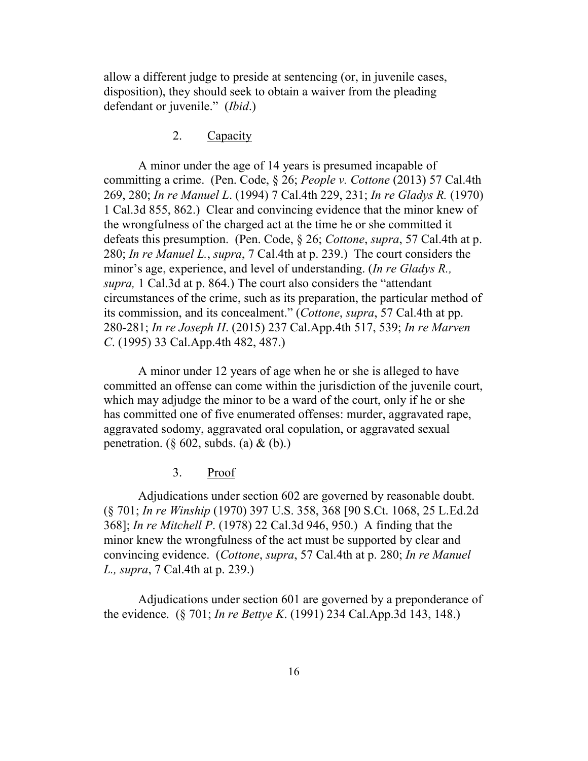allow a different judge to preside at sentencing (or, in juvenile cases, disposition), they should seek to obtain a waiver from the pleading defendant or juvenile." (*Ibid*.)

### 2. Capacity

A minor under the age of 14 years is presumed incapable of committing a crime. (Pen. Code, § 26; *People v. Cottone* (2013) 57 Cal.4th 269, 280; *In re Manuel L*. (1994) 7 Cal.4th 229, 231; *In re Gladys R.* (1970) 1 Cal.3d 855, 862.) Clear and convincing evidence that the minor knew of the wrongfulness of the charged act at the time he or she committed it defeats this presumption. (Pen. Code, § 26; *Cottone*, *supra*, 57 Cal.4th at p. 280; *In re Manuel L.*, *supra*, 7 Cal.4th at p. 239.) The court considers the minor's age, experience, and level of understanding. (*In re Gladys R., supra,* 1 Cal.3d at p. 864.) The court also considers the "attendant circumstances of the crime, such as its preparation, the particular method of its commission, and its concealment." (*Cottone*, *supra*, 57 Cal.4th at pp. 280-281; *In re Joseph H*. (2015) 237 Cal.App.4th 517, 539; *In re Marven C*. (1995) 33 Cal.App.4th 482, 487.)

A minor under 12 years of age when he or she is alleged to have committed an offense can come within the jurisdiction of the juvenile court, which may adjudge the minor to be a ward of the court, only if he or she has committed one of five enumerated offenses: murder, aggravated rape, aggravated sodomy, aggravated oral copulation, or aggravated sexual penetration. (§ 602, subds. (a)  $\&$  (b).)

### 3. Proof

Adjudications under section 602 are governed by reasonable doubt. (§ 701; *In re Winship* (1970) 397 U.S. 358, 368 [90 S.Ct. 1068, 25 L.Ed.2d 368]; *In re Mitchell P*. (1978) 22 Cal.3d 946, 950.) A finding that the minor knew the wrongfulness of the act must be supported by clear and convincing evidence. (*Cottone*, *supra*, 57 Cal.4th at p. 280; *In re Manuel L., supra*, 7 Cal.4th at p. 239.)

Adjudications under section 601 are governed by a preponderance of the evidence. (§ 701; *In re Bettye K*. (1991) 234 Cal.App.3d 143, 148.)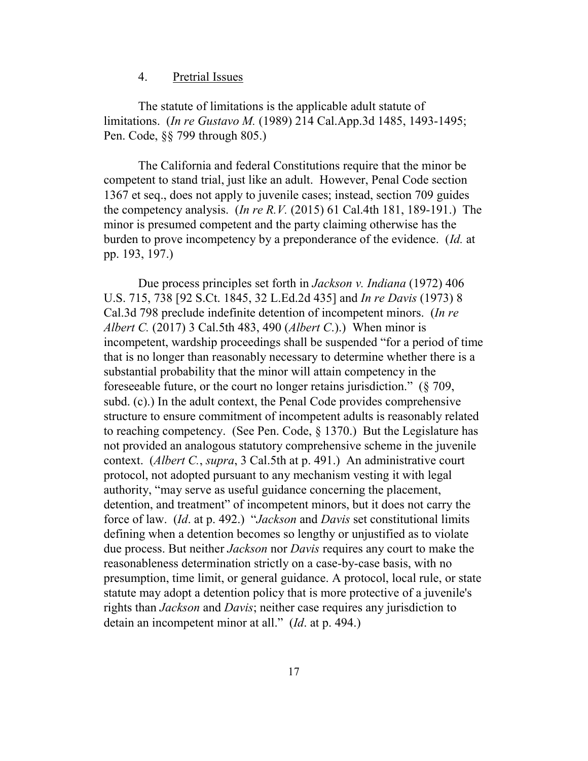#### 4. Pretrial Issues

The statute of limitations is the applicable adult statute of limitations. (*In re Gustavo M.* (1989) 214 Cal.App.3d 1485, 1493-1495; Pen. Code, §§ 799 through 805.)

The California and federal Constitutions require that the minor be competent to stand trial, just like an adult. However, Penal Code section 1367 et seq., does not apply to juvenile cases; instead, section 709 guides the competency analysis. (*In re R.V.* (2015) 61 Cal.4th 181, 189-191.) The minor is presumed competent and the party claiming otherwise has the burden to prove incompetency by a preponderance of the evidence. (*Id.* at pp. 193, 197.)

Due process principles set forth in *Jackson v. Indiana* (1972) 406 U.S. 715, 738 [92 S.Ct. 1845, 32 L.Ed.2d 435] and *In re Davis* (1973) 8 Cal.3d 798 preclude indefinite detention of incompetent minors. (*In re Albert C.* (2017) 3 Cal.5th 483, 490 (*Albert C*.).) When minor is incompetent, wardship proceedings shall be suspended "for a period of time that is no longer than reasonably necessary to determine whether there is a substantial probability that the minor will attain competency in the foreseeable future, or the court no longer retains jurisdiction." (§ 709, subd. (c).) In the adult context, the Penal Code provides comprehensive structure to ensure commitment of incompetent adults is reasonably related to reaching competency. (See Pen. Code, § 1370.) But the Legislature has not provided an analogous statutory comprehensive scheme in the juvenile context. (*Albert C.*, *supra*, 3 Cal.5th at p. 491.) An administrative court protocol, not adopted pursuant to any mechanism vesting it with legal authority, "may serve as useful guidance concerning the placement, detention, and treatment" of incompetent minors, but it does not carry the force of law. (*Id*. at p. 492.) "*Jackson* and *Davis* set constitutional limits defining when a detention becomes so lengthy or unjustified as to violate due process. But neither *Jackson* nor *Davis* requires any court to make the reasonableness determination strictly on a case-by-case basis, with no presumption, time limit, or general guidance. A protocol, local rule, or state statute may adopt a detention policy that is more protective of a juvenile's rights than *Jackson* and *Davis*; neither case requires any jurisdiction to detain an incompetent minor at all." (*Id*. at p. 494.)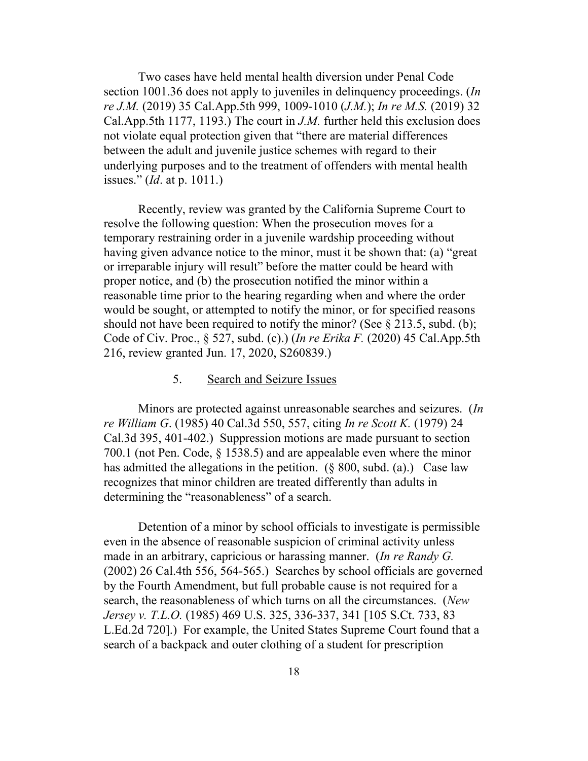Two cases have held mental health diversion under Penal Code section 1001.36 does not apply to juveniles in delinquency proceedings. (*In re J.M.* (2019) 35 Cal.App.5th 999, 1009-1010 (*J.M.*); *In re M.S.* (2019) 32 Cal.App.5th 1177, 1193.) The court in *J.M.* further held this exclusion does not violate equal protection given that "there are material differences between the adult and juvenile justice schemes with regard to their underlying purposes and to the treatment of offenders with mental health issues." (*Id*. at p. 1011.)

Recently, review was granted by the California Supreme Court to resolve the following question: When the prosecution moves for a temporary restraining order in a juvenile wardship proceeding without having given advance notice to the minor, must it be shown that: (a) "great or irreparable injury will result" before the matter could be heard with proper notice, and (b) the prosecution notified the minor within a reasonable time prior to the hearing regarding when and where the order would be sought, or attempted to notify the minor, or for specified reasons should not have been required to notify the minor? (See  $\S 213.5$ , subd. (b); Code of Civ. Proc., § 527, subd. (c).) (*In re Erika F.* (2020) 45 Cal.App.5th 216, review granted Jun. 17, 2020, S260839.)

#### 5. Search and Seizure Issues

Minors are protected against unreasonable searches and seizures. (*In re William G*. (1985) 40 Cal.3d 550, 557, citing *In re Scott K.* (1979) 24 Cal.3d 395, 401-402.) Suppression motions are made pursuant to section 700.1 (not Pen. Code, § 1538.5) and are appealable even where the minor has admitted the allegations in the petition.  $(\S$  800, subd. (a).) Case law recognizes that minor children are treated differently than adults in determining the "reasonableness" of a search.

Detention of a minor by school officials to investigate is permissible even in the absence of reasonable suspicion of criminal activity unless made in an arbitrary, capricious or harassing manner. (*In re Randy G.* (2002) 26 Cal.4th 556, 564-565.) Searches by school officials are governed by the Fourth Amendment, but full probable cause is not required for a search, the reasonableness of which turns on all the circumstances. (*New Jersey v. T.L.O.* (1985) 469 U.S. 325, 336-337, 341 [105 S.Ct. 733, 83 L.Ed.2d 720].) For example, the United States Supreme Court found that a search of a backpack and outer clothing of a student for prescription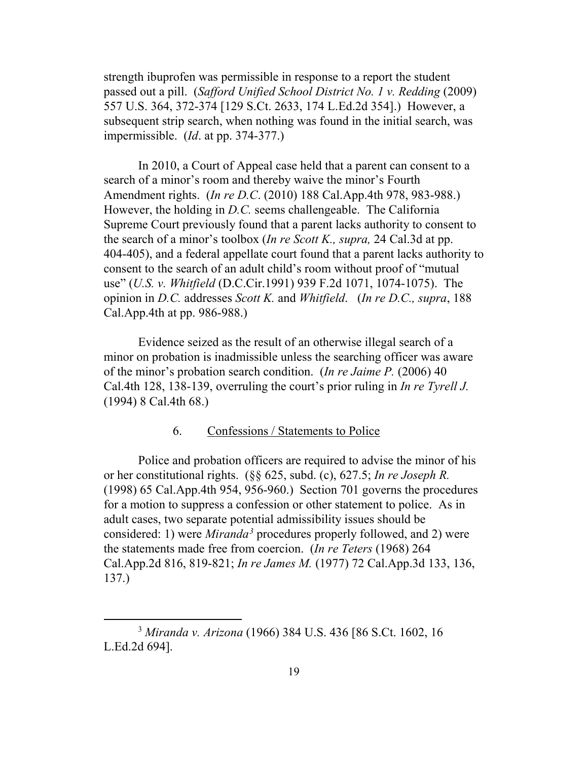strength ibuprofen was permissible in response to a report the student passed out a pill. (*Safford Unified School District No. 1 v. Redding* (2009) 557 U.S. 364, 372-374 [129 S.Ct. 2633, 174 L.Ed.2d 354].) However, a subsequent strip search, when nothing was found in the initial search, was impermissible. (*Id*. at pp. 374-377.)

In 2010, a Court of Appeal case held that a parent can consent to a search of a minor's room and thereby waive the minor's Fourth Amendment rights. (*In re D.C*. (2010) 188 Cal.App.4th 978, 983-988.) However, the holding in *D.C.* seems challengeable. The California Supreme Court previously found that a parent lacks authority to consent to the search of a minor's toolbox (*In re Scott K., supra,* 24 Cal.3d at pp. 404-405), and a federal appellate court found that a parent lacks authority to consent to the search of an adult child's room without proof of "mutual use" (*U.S. v. Whitfield* (D.C.Cir.1991) 939 F.2d 1071, 1074-1075). The opinion in *D.C.* addresses *Scott K.* and *Whitfield*. (*In re D.C., supra*, 188 Cal.App.4th at pp. 986-988.)

Evidence seized as the result of an otherwise illegal search of a minor on probation is inadmissible unless the searching officer was aware of the minor's probation search condition. (*In re Jaime P.* (2006) 40 Cal.4th 128, 138-139, overruling the court's prior ruling in *In re Tyrell J.* (1994) 8 Cal.4th 68.)

### 6. Confessions / Statements to Police

Police and probation officers are required to advise the minor of his or her constitutional rights. (§§ 625, subd. (c), 627.5; *In re Joseph R.* (1998) 65 Cal.App.4th 954, 956-960.) Section 701 governs the procedures for a motion to suppress a confession or other statement to police. As in adult cases, two separate potential admissibility issues should be considered: 1) were *Miranda[3](#page-18-0)* procedures properly followed, and 2) were the statements made free from coercion. (*In re Teters* (1968) 264 Cal.App.2d 816, 819-821; *In re James M.* (1977) 72 Cal.App.3d 133, 136, 137.)

<span id="page-18-0"></span> <sup>3</sup> *Miranda v. Arizona* (1966) 384 U.S. 436 [86 S.Ct. 1602, 16 L.Ed.2d 694].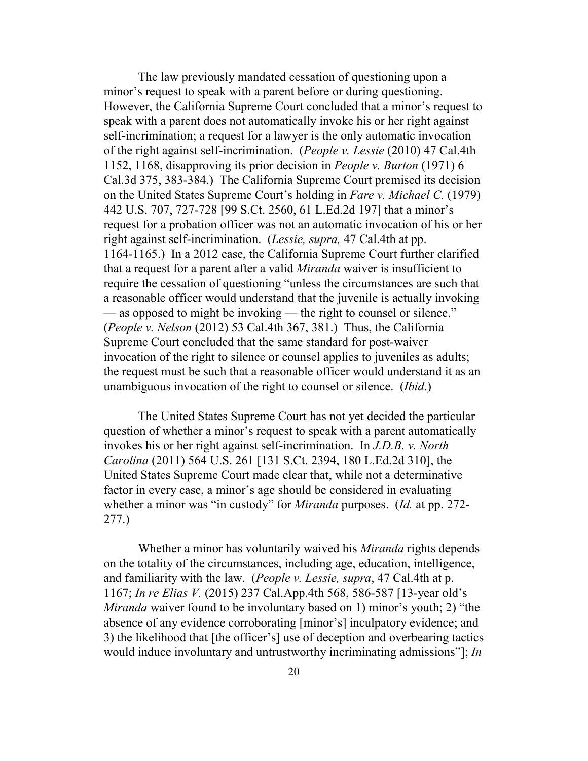The law previously mandated cessation of questioning upon a minor's request to speak with a parent before or during questioning. However, the California Supreme Court concluded that a minor's request to speak with a parent does not automatically invoke his or her right against self-incrimination; a request for a lawyer is the only automatic invocation of the right against self-incrimination. (*People v. Lessie* (2010) 47 Cal.4th 1152, 1168, disapproving its prior decision in *People v. Burton* (1971) 6 Cal.3d 375, 383-384.) The California Supreme Court premised its decision on the United States Supreme Court's holding in *Fare v. Michael C.* (1979) 442 U.S. 707, 727-728 [99 S.Ct. 2560, 61 L.Ed.2d 197] that a minor's request for a probation officer was not an automatic invocation of his or her right against self-incrimination. (*Lessie, supra,* 47 Cal.4th at pp. 1164-1165.) In a 2012 case, the California Supreme Court further clarified that a request for a parent after a valid *Miranda* waiver is insufficient to require the cessation of questioning "unless the circumstances are such that a reasonable officer would understand that the juvenile is actually invoking — as opposed to might be invoking — the right to counsel or silence." (*People v. Nelson* (2012) 53 Cal.4th 367, 381.) Thus, the California Supreme Court concluded that the same standard for post-waiver invocation of the right to silence or counsel applies to juveniles as adults; the request must be such that a reasonable officer would understand it as an unambiguous invocation of the right to counsel or silence. (*Ibid*.)

The United States Supreme Court has not yet decided the particular question of whether a minor's request to speak with a parent automatically invokes his or her right against self-incrimination. In *J.D.B. v. North Carolina* (2011) 564 U.S. 261 [131 S.Ct. 2394, 180 L.Ed.2d 310], the United States Supreme Court made clear that, while not a determinative factor in every case, a minor's age should be considered in evaluating whether a minor was "in custody" for *Miranda* purposes. (*Id.* at pp. 272- 277.)

Whether a minor has voluntarily waived his *Miranda* rights depends on the totality of the circumstances, including age, education, intelligence, and familiarity with the law. (*People v. Lessie, supra*, 47 Cal.4th at p. 1167; *In re Elias V.* (2015) 237 Cal.App.4th 568, 586-587 [13-year old's *Miranda* waiver found to be involuntary based on 1) minor's youth; 2) "the absence of any evidence corroborating [minor's] inculpatory evidence; and 3) the likelihood that [the officer's] use of deception and overbearing tactics would induce involuntary and untrustworthy incriminating admissions"]; *In*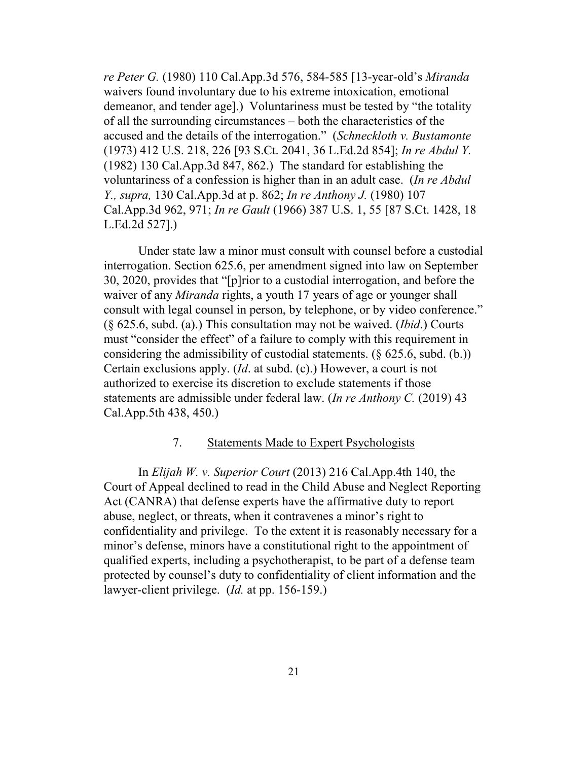*re Peter G.* (1980) 110 Cal.App.3d 576, 584-585 [13-year-old's *Miranda* waivers found involuntary due to his extreme intoxication, emotional demeanor, and tender age].) Voluntariness must be tested by "the totality of all the surrounding circumstances – both the characteristics of the accused and the details of the interrogation." (*Schneckloth v. Bustamonte* (1973) 412 U.S. 218, 226 [93 S.Ct. 2041, 36 L.Ed.2d 854]; *In re Abdul Y.* (1982) 130 Cal.App.3d 847, 862.) The standard for establishing the voluntariness of a confession is higher than in an adult case. (*In re Abdul Y., supra,* 130 Cal.App.3d at p. 862; *In re Anthony J.* (1980) 107 Cal.App.3d 962, 971; *In re Gault* (1966) 387 U.S. 1, 55 [87 S.Ct. 1428, 18 L.Ed.2d 527].)

Under state law a minor must consult with counsel before a custodial interrogation. Section 625.6, per amendment signed into law on September 30, 2020, provides that "[p]rior to a custodial interrogation, and before the waiver of any *Miranda* rights, a youth 17 years of age or younger shall consult with legal counsel in person, by telephone, or by video conference." (§ 625.6, subd. (a).) This consultation may not be waived. (*Ibid*.) Courts must "consider the effect" of a failure to comply with this requirement in considering the admissibility of custodial statements.  $(\S$  625.6, subd. (b.)) Certain exclusions apply. (*Id*. at subd. (c).) However, a court is not authorized to exercise its discretion to exclude statements if those statements are admissible under federal law. (*In re Anthony C.* (2019) 43 Cal.App.5th 438, 450.)

#### 7. Statements Made to Expert Psychologists

In *Elijah W. v. Superior Court* (2013) 216 Cal.App.4th 140, the Court of Appeal declined to read in the Child Abuse and Neglect Reporting Act (CANRA) that defense experts have the affirmative duty to report abuse, neglect, or threats, when it contravenes a minor's right to confidentiality and privilege. To the extent it is reasonably necessary for a minor's defense, minors have a constitutional right to the appointment of qualified experts, including a psychotherapist, to be part of a defense team protected by counsel's duty to confidentiality of client information and the lawyer-client privilege. (*Id.* at pp. 156-159.)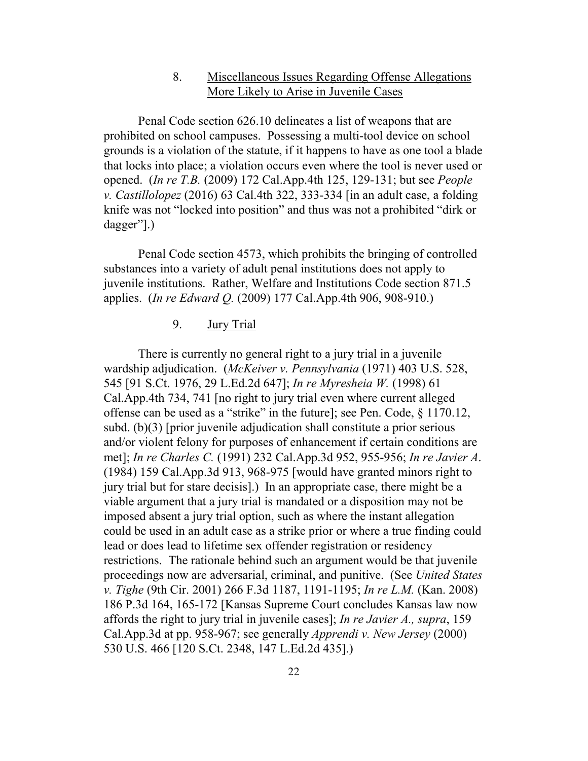# 8. Miscellaneous Issues Regarding Offense Allegations More Likely to Arise in Juvenile Cases

Penal Code section 626.10 delineates a list of weapons that are prohibited on school campuses. Possessing a multi-tool device on school grounds is a violation of the statute, if it happens to have as one tool a blade that locks into place; a violation occurs even where the tool is never used or opened. (*In re T.B.* (2009) 172 Cal.App.4th 125, 129-131; but see *People v. Castillolopez* (2016) 63 Cal.4th 322, 333-334 [in an adult case, a folding knife was not "locked into position" and thus was not a prohibited "dirk or dagger"].)

Penal Code section 4573, which prohibits the bringing of controlled substances into a variety of adult penal institutions does not apply to juvenile institutions. Rather, Welfare and Institutions Code section 871.5 applies. (*In re Edward Q.* (2009) 177 Cal.App.4th 906, 908-910.)

# 9. Jury Trial

There is currently no general right to a jury trial in a juvenile wardship adjudication. (*McKeiver v. Pennsylvania* (1971) 403 U.S. 528, 545 [91 S.Ct. 1976, 29 L.Ed.2d 647]; *In re Myresheia W.* (1998) 61 Cal.App.4th 734, 741 [no right to jury trial even where current alleged offense can be used as a "strike" in the future]; see Pen. Code, § 1170.12, subd. (b)(3) [prior juvenile adjudication shall constitute a prior serious and/or violent felony for purposes of enhancement if certain conditions are met]; *In re Charles C.* (1991) 232 Cal.App.3d 952, 955-956; *In re Javier A*. (1984) 159 Cal.App.3d 913, 968-975 [would have granted minors right to jury trial but for stare decisis].) In an appropriate case, there might be a viable argument that a jury trial is mandated or a disposition may not be imposed absent a jury trial option, such as where the instant allegation could be used in an adult case as a strike prior or where a true finding could lead or does lead to lifetime sex offender registration or residency restrictions. The rationale behind such an argument would be that juvenile proceedings now are adversarial, criminal, and punitive. (See *United States v. Tighe* (9th Cir. 2001) 266 F.3d 1187, 1191-1195; *In re L.M.* (Kan. 2008) 186 P.3d 164, 165-172 [Kansas Supreme Court concludes Kansas law now affords the right to jury trial in juvenile cases]; *In re Javier A., supra*, 159 Cal.App.3d at pp. 958-967; see generally *Apprendi v. New Jersey* (2000) 530 U.S. 466 [120 S.Ct. 2348, 147 L.Ed.2d 435].)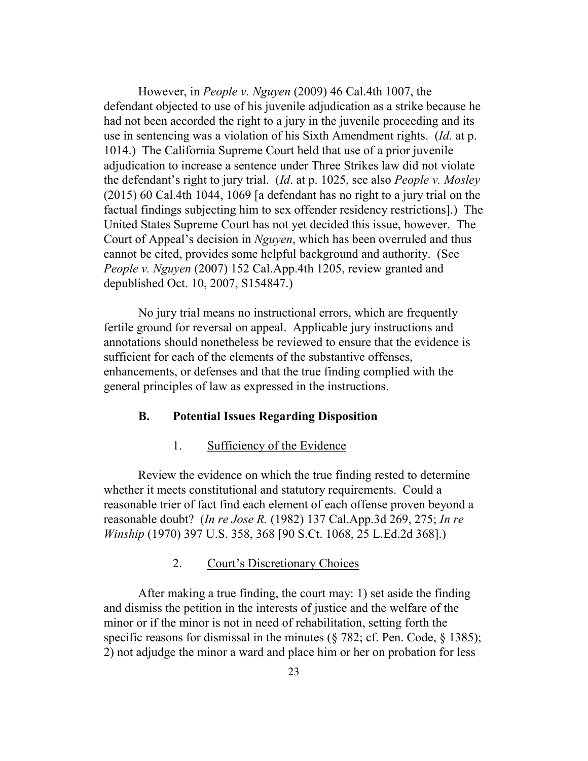However, in *People v. Nguyen* (2009) 46 Cal.4th 1007, the defendant objected to use of his juvenile adjudication as a strike because he had not been accorded the right to a jury in the juvenile proceeding and its use in sentencing was a violation of his Sixth Amendment rights. (*Id.* at p. 1014.) The California Supreme Court held that use of a prior juvenile adjudication to increase a sentence under Three Strikes law did not violate the defendant's right to jury trial. (*Id*. at p. 1025, see also *People v. Mosley* (2015) 60 Cal.4th 1044, 1069 [a defendant has no right to a jury trial on the factual findings subjecting him to sex offender residency restrictions].) The United States Supreme Court has not yet decided this issue, however. The Court of Appeal's decision in *Nguyen*, which has been overruled and thus cannot be cited, provides some helpful background and authority. (See *People v. Nguyen* (2007) 152 Cal.App.4th 1205, review granted and depublished Oct. 10, 2007, S154847.)

No jury trial means no instructional errors, which are frequently fertile ground for reversal on appeal. Applicable jury instructions and annotations should nonetheless be reviewed to ensure that the evidence is sufficient for each of the elements of the substantive offenses, enhancements, or defenses and that the true finding complied with the general principles of law as expressed in the instructions.

### **B. Potential Issues Regarding Disposition**

### 1. Sufficiency of the Evidence

Review the evidence on which the true finding rested to determine whether it meets constitutional and statutory requirements. Could a reasonable trier of fact find each element of each offense proven beyond a reasonable doubt? (*In re Jose R.* (1982) 137 Cal.App.3d 269, 275; *In re Winship* (1970) 397 U.S. 358, 368 [90 S.Ct. 1068, 25 L.Ed.2d 368].)

### 2. Court's Discretionary Choices

After making a true finding, the court may: 1) set aside the finding and dismiss the petition in the interests of justice and the welfare of the minor or if the minor is not in need of rehabilitation, setting forth the specific reasons for dismissal in the minutes ( $\S$  782; cf. Pen. Code,  $\S$  1385); 2) not adjudge the minor a ward and place him or her on probation for less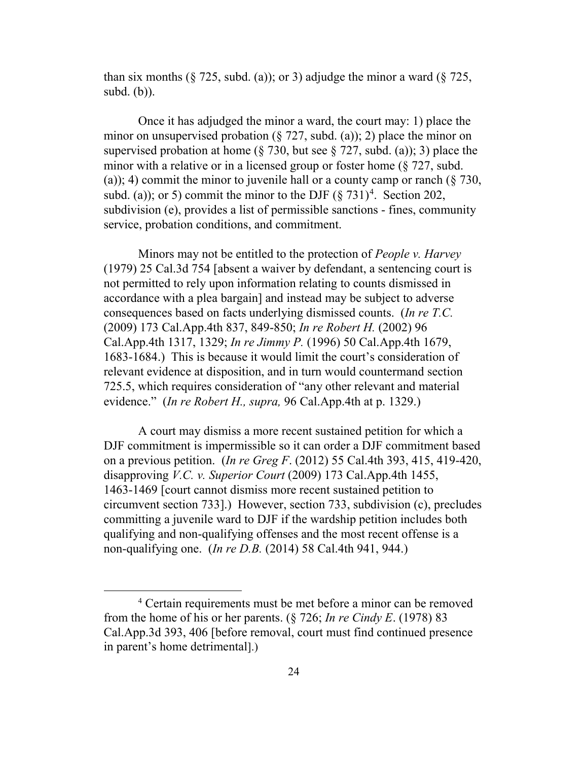than six months ( $\S$  725, subd. (a)); or 3) adjudge the minor a ward ( $\S$  725, subd. (b)).

Once it has adjudged the minor a ward, the court may: 1) place the minor on unsupervised probation ( $\S 727$ , subd. (a)); 2) place the minor on supervised probation at home ( $\S$  730, but see  $\S$  727, subd. (a)); 3) place the minor with a relative or in a licensed group or foster home (§ 727, subd. (a)); 4) commit the minor to juvenile hall or a county camp or ranch  $(\S 730, \S 730)$ subd. (a)); or 5) commit the minor to the DJF  $(\S 731)^4$  $(\S 731)^4$ . Section 202, subdivision (e), provides a list of permissible sanctions - fines, community service, probation conditions, and commitment.

Minors may not be entitled to the protection of *People v. Harvey* (1979) 25 Cal.3d 754 [absent a waiver by defendant, a sentencing court is not permitted to rely upon information relating to counts dismissed in accordance with a plea bargain] and instead may be subject to adverse consequences based on facts underlying dismissed counts. (*In re T.C.* (2009) 173 Cal.App.4th 837, 849-850; *In re Robert H.* (2002) 96 Cal.App.4th 1317, 1329; *In re Jimmy P.* (1996) 50 Cal.App.4th 1679, 1683-1684.) This is because it would limit the court's consideration of relevant evidence at disposition, and in turn would countermand section 725.5, which requires consideration of "any other relevant and material evidence." (*In re Robert H., supra,* 96 Cal.App.4th at p. 1329.)

A court may dismiss a more recent sustained petition for which a DJF commitment is impermissible so it can order a DJF commitment based on a previous petition. (*In re Greg F*. (2012) 55 Cal.4th 393, 415, 419-420, disapproving *V.C. v. Superior Court* (2009) 173 Cal.App.4th 1455, 1463-1469 [court cannot dismiss more recent sustained petition to circumvent section 733].) However, section 733, subdivision (c), precludes committing a juvenile ward to DJF if the wardship petition includes both qualifying and non-qualifying offenses and the most recent offense is a non-qualifying one. (*In re D.B.* (2014) 58 Cal.4th 941, 944.)

<span id="page-23-0"></span> <sup>4</sup> Certain requirements must be met before a minor can be removed from the home of his or her parents. (§ 726; *In re Cindy E*. (1978) 83 Cal.App.3d 393, 406 [before removal, court must find continued presence in parent's home detrimental].)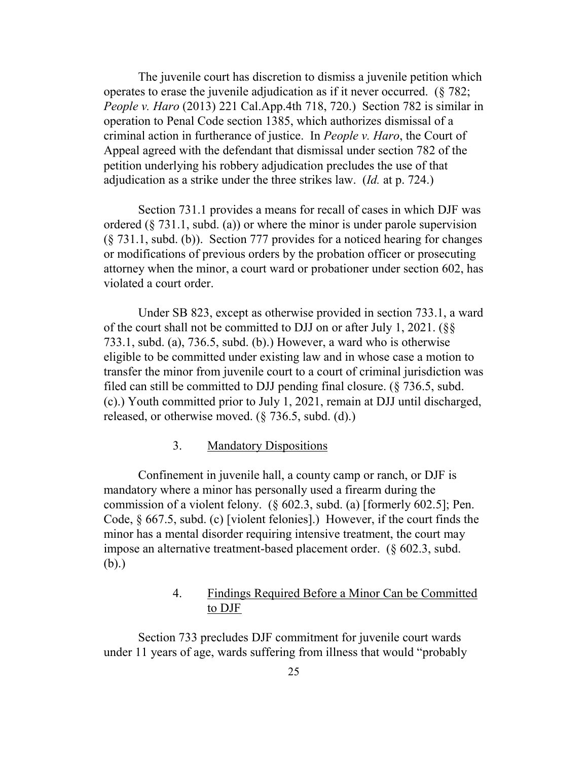The juvenile court has discretion to dismiss a juvenile petition which operates to erase the juvenile adjudication as if it never occurred. (§ 782; *People v. Haro* (2013) 221 Cal.App.4th 718, 720.) Section 782 is similar in operation to Penal Code section 1385, which authorizes dismissal of a criminal action in furtherance of justice. In *People v. Haro*, the Court of Appeal agreed with the defendant that dismissal under section 782 of the petition underlying his robbery adjudication precludes the use of that adjudication as a strike under the three strikes law. (*Id.* at p. 724.)

Section 731.1 provides a means for recall of cases in which DJF was ordered  $(\xi$  731.1, subd. (a)) or where the minor is under parole supervision (§ 731.1, subd. (b)). Section 777 provides for a noticed hearing for changes or modifications of previous orders by the probation officer or prosecuting attorney when the minor, a court ward or probationer under section 602, has violated a court order.

Under SB 823, except as otherwise provided in section 733.1, a ward of the court shall not be committed to DJJ on or after July 1, 2021. (§§ 733.1, subd. (a), 736.5, subd. (b).) However, a ward who is otherwise eligible to be committed under existing law and in whose case a motion to transfer the minor from juvenile court to a court of criminal jurisdiction was filed can still be committed to DJJ pending final closure. (§ 736.5, subd. (c).) Youth committed prior to July 1, 2021, remain at DJJ until discharged, released, or otherwise moved. (§ 736.5, subd. (d).)

### 3. Mandatory Dispositions

Confinement in juvenile hall, a county camp or ranch, or DJF is mandatory where a minor has personally used a firearm during the commission of a violent felony. (§ 602.3, subd. (a) [formerly 602.5]; Pen. Code, § 667.5, subd. (c) [violent felonies].) However, if the court finds the minor has a mental disorder requiring intensive treatment, the court may impose an alternative treatment-based placement order. (§ 602.3, subd. (b).)

# 4. Findings Required Before a Minor Can be Committed to DJF

Section 733 precludes DJF commitment for juvenile court wards under 11 years of age, wards suffering from illness that would "probably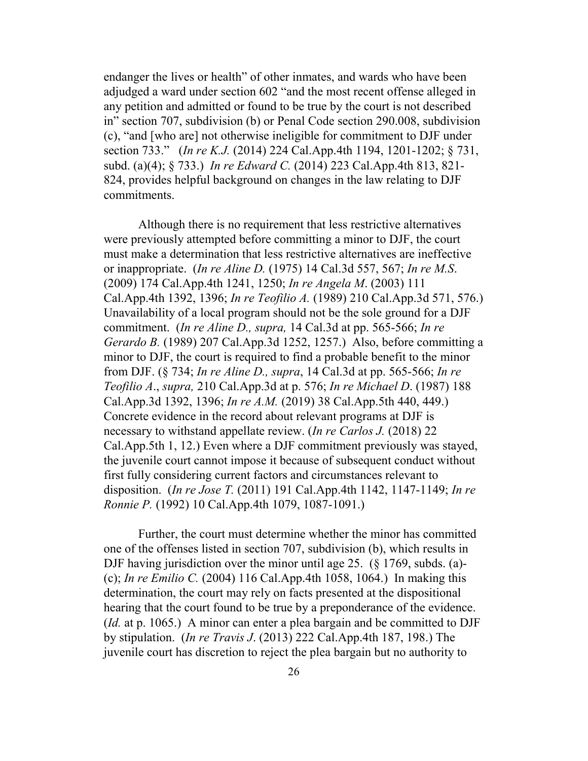endanger the lives or health" of other inmates, and wards who have been adjudged a ward under section 602 "and the most recent offense alleged in any petition and admitted or found to be true by the court is not described in" section 707, subdivision (b) or Penal Code section 290.008, subdivision (c), "and [who are] not otherwise ineligible for commitment to DJF under section 733." (*In re K.J.* (2014) 224 Cal.App.4th 1194, 1201-1202; § 731, subd. (a)(4); § 733.) *In re Edward C.* (2014) 223 Cal.App.4th 813, 821- 824, provides helpful background on changes in the law relating to DJF commitments.

Although there is no requirement that less restrictive alternatives were previously attempted before committing a minor to DJF, the court must make a determination that less restrictive alternatives are ineffective or inappropriate. (*In re Aline D.* (1975) 14 Cal.3d 557, 567; *In re M.S*. (2009) 174 Cal.App.4th 1241, 1250; *In re Angela M*. (2003) 111 Cal.App.4th 1392, 1396; *In re Teofilio A.* (1989) 210 Cal.App.3d 571, 576.) Unavailability of a local program should not be the sole ground for a DJF commitment. (*In re Aline D., supra,* 14 Cal.3d at pp. 565-566; *In re Gerardo B.* (1989) 207 Cal.App.3d 1252, 1257.) Also, before committing a minor to DJF, the court is required to find a probable benefit to the minor from DJF. (§ 734; *In re Aline D., supra*, 14 Cal.3d at pp. 565-566; *In re Teofilio A*., *supra,* 210 Cal.App.3d at p. 576; *In re Michael D*. (1987) 188 Cal.App.3d 1392, 1396; *In re A.M.* (2019) 38 Cal.App.5th 440, 449.) Concrete evidence in the record about relevant programs at DJF is necessary to withstand appellate review. (*In re Carlos J.* (2018) 22 Cal.App.5th 1, 12.) Even where a DJF commitment previously was stayed, the juvenile court cannot impose it because of subsequent conduct without first fully considering current factors and circumstances relevant to disposition. (*In re Jose T.* (2011) 191 Cal.App.4th 1142, 1147-1149; *In re Ronnie P.* (1992) 10 Cal.App.4th 1079, 1087-1091.)

Further, the court must determine whether the minor has committed one of the offenses listed in section 707, subdivision (b), which results in DJF having jurisdiction over the minor until age 25. (§ 1769, subds. (a)- (c); *In re Emilio C.* (2004) 116 Cal.App.4th 1058, 1064.) In making this determination, the court may rely on facts presented at the dispositional hearing that the court found to be true by a preponderance of the evidence. (*Id.* at p. 1065.) A minor can enter a plea bargain and be committed to DJF by stipulation. (*In re Travis J*. (2013) 222 Cal.App.4th 187, 198.) The juvenile court has discretion to reject the plea bargain but no authority to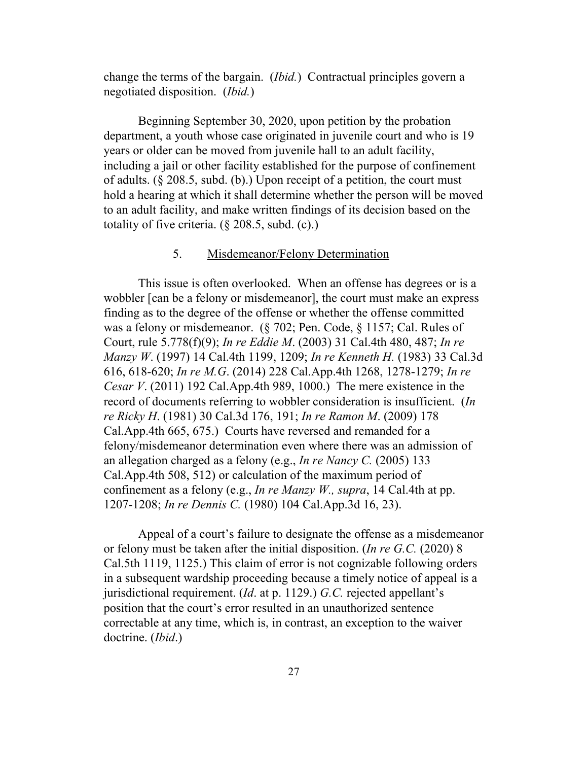change the terms of the bargain. (*Ibid.*) Contractual principles govern a negotiated disposition. (*Ibid.*)

Beginning September 30, 2020, upon petition by the probation department, a youth whose case originated in juvenile court and who is 19 years or older can be moved from juvenile hall to an adult facility, including a jail or other facility established for the purpose of confinement of adults. (§ 208.5, subd. (b).) Upon receipt of a petition, the court must hold a hearing at which it shall determine whether the person will be moved to an adult facility, and make written findings of its decision based on the totality of five criteria. (§ 208.5, subd. (c).)

### 5. Misdemeanor/Felony Determination

This issue is often overlooked. When an offense has degrees or is a wobbler [can be a felony or misdemeanor], the court must make an express finding as to the degree of the offense or whether the offense committed was a felony or misdemeanor. (§ 702; Pen. Code, § 1157; Cal. Rules of Court, rule 5.778(f)(9); *In re Eddie M*. (2003) 31 Cal.4th 480, 487; *In re Manzy W*. (1997) 14 Cal.4th 1199, 1209; *In re Kenneth H.* (1983) 33 Cal.3d 616, 618-620; *In re M.G*. (2014) 228 Cal.App.4th 1268, 1278-1279; *In re Cesar V*. (2011) 192 Cal.App.4th 989, 1000.) The mere existence in the record of documents referring to wobbler consideration is insufficient. (*In re Ricky H*. (1981) 30 Cal.3d 176, 191; *In re Ramon M*. (2009) 178 Cal.App.4th 665, 675.) Courts have reversed and remanded for a felony/misdemeanor determination even where there was an admission of an allegation charged as a felony (e.g., *In re Nancy C.* (2005) 133 Cal.App.4th 508, 512) or calculation of the maximum period of confinement as a felony (e.g., *In re Manzy W., supra*, 14 Cal.4th at pp. 1207-1208; *In re Dennis C.* (1980) 104 Cal.App.3d 16, 23).

Appeal of a court's failure to designate the offense as a misdemeanor or felony must be taken after the initial disposition. (*In re G.C.* (2020) 8 Cal.5th 1119, 1125.) This claim of error is not cognizable following orders in a subsequent wardship proceeding because a timely notice of appeal is a jurisdictional requirement. (*Id*. at p. 1129.) *G.C.* rejected appellant's position that the court's error resulted in an unauthorized sentence correctable at any time, which is, in contrast, an exception to the waiver doctrine. (*Ibid*.)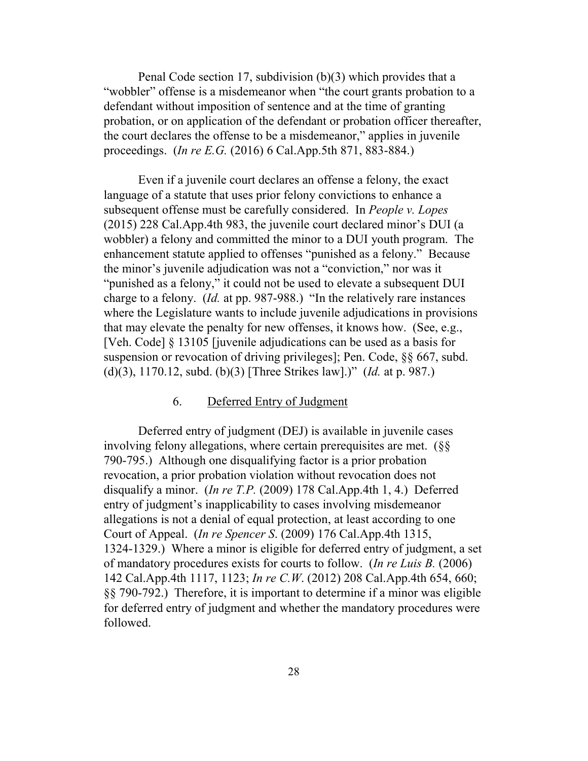Penal Code section 17, subdivision (b)(3) which provides that a "wobbler" offense is a misdemeanor when "the court grants probation to a defendant without imposition of sentence and at the time of granting probation, or on application of the defendant or probation officer thereafter, the court declares the offense to be a misdemeanor," applies in juvenile proceedings. (*In re E.G.* (2016) 6 Cal.App.5th 871, 883-884.)

Even if a juvenile court declares an offense a felony, the exact language of a statute that uses prior felony convictions to enhance a subsequent offense must be carefully considered. In *People v. Lopes* (2015) 228 Cal.App.4th 983, the juvenile court declared minor's DUI (a wobbler) a felony and committed the minor to a DUI youth program. The enhancement statute applied to offenses "punished as a felony." Because the minor's juvenile adjudication was not a "conviction," nor was it "punished as a felony," it could not be used to elevate a subsequent DUI charge to a felony. (*Id.* at pp. 987-988.) "In the relatively rare instances where the Legislature wants to include juvenile adjudications in provisions that may elevate the penalty for new offenses, it knows how. (See, e.g., [Veh. Code] § 13105 [juvenile adjudications can be used as a basis for suspension or revocation of driving privileges]; Pen. Code, §§ 667, subd. (d)(3), 1170.12, subd. (b)(3) [Three Strikes law].)" (*Id.* at p. 987.)

#### 6. Deferred Entry of Judgment

Deferred entry of judgment (DEJ) is available in juvenile cases involving felony allegations, where certain prerequisites are met. (§§ 790-795.) Although one disqualifying factor is a prior probation revocation, a prior probation violation without revocation does not disqualify a minor. (*In re T.P.* (2009) 178 Cal.App.4th 1, 4.) Deferred entry of judgment's inapplicability to cases involving misdemeanor allegations is not a denial of equal protection, at least according to one Court of Appeal. (*In re Spencer S*. (2009) 176 Cal.App.4th 1315, 1324-1329.) Where a minor is eligible for deferred entry of judgment, a set of mandatory procedures exists for courts to follow. (*In re Luis B.* (2006) 142 Cal.App.4th 1117, 1123; *In re C.W*. (2012) 208 Cal.App.4th 654, 660; §§ 790-792.) Therefore, it is important to determine if a minor was eligible for deferred entry of judgment and whether the mandatory procedures were followed.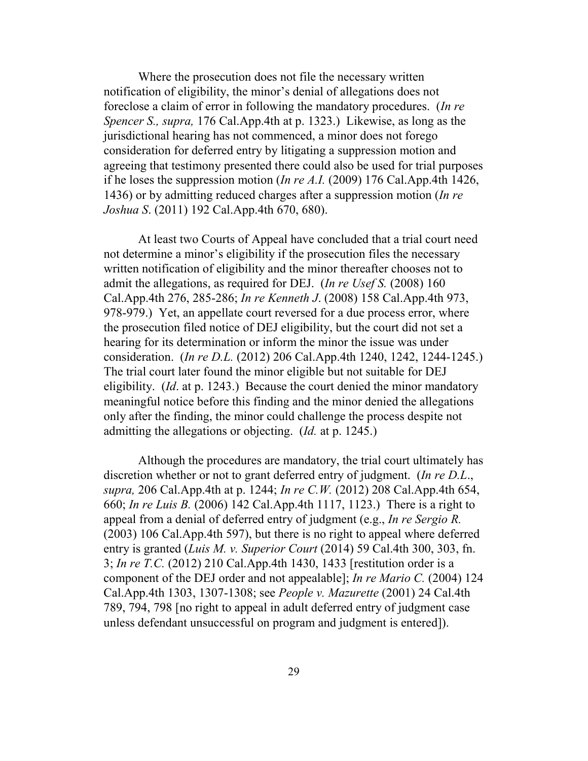Where the prosecution does not file the necessary written notification of eligibility, the minor's denial of allegations does not foreclose a claim of error in following the mandatory procedures. (*In re Spencer S., supra,* 176 Cal.App.4th at p. 1323.) Likewise, as long as the jurisdictional hearing has not commenced, a minor does not forego consideration for deferred entry by litigating a suppression motion and agreeing that testimony presented there could also be used for trial purposes if he loses the suppression motion (*In re A.I.* (2009) 176 Cal.App.4th 1426, 1436) or by admitting reduced charges after a suppression motion (*In re Joshua S*. (2011) 192 Cal.App.4th 670, 680).

At least two Courts of Appeal have concluded that a trial court need not determine a minor's eligibility if the prosecution files the necessary written notification of eligibility and the minor thereafter chooses not to admit the allegations, as required for DEJ. (*In re Usef S.* (2008) 160 Cal.App.4th 276, 285-286; *In re Kenneth J*. (2008) 158 Cal.App.4th 973, 978-979.) Yet, an appellate court reversed for a due process error, where the prosecution filed notice of DEJ eligibility, but the court did not set a hearing for its determination or inform the minor the issue was under consideration. (*In re D.L.* (2012) 206 Cal.App.4th 1240, 1242, 1244-1245.) The trial court later found the minor eligible but not suitable for DEJ eligibility. (*Id*. at p. 1243.) Because the court denied the minor mandatory meaningful notice before this finding and the minor denied the allegations only after the finding, the minor could challenge the process despite not admitting the allegations or objecting. (*Id.* at p. 1245.)

Although the procedures are mandatory, the trial court ultimately has discretion whether or not to grant deferred entry of judgment. (*In re D.L*., *supra,* 206 Cal.App.4th at p. 1244; *In re C.W.* (2012) 208 Cal.App.4th 654, 660; *In re Luis B.* (2006) 142 Cal.App.4th 1117, 1123.) There is a right to appeal from a denial of deferred entry of judgment (e.g., *In re Sergio R.* (2003) 106 Cal.App.4th 597), but there is no right to appeal where deferred entry is granted (*Luis M. v. Superior Court* (2014) 59 Cal.4th 300, 303, fn. 3; *In re T.C.* (2012) 210 Cal.App.4th 1430, 1433 [restitution order is a component of the DEJ order and not appealable]; *In re Mario C.* (2004) 124 Cal.App.4th 1303, 1307-1308; see *People v. Mazurette* (2001) 24 Cal.4th 789, 794, 798 [no right to appeal in adult deferred entry of judgment case unless defendant unsuccessful on program and judgment is entered]).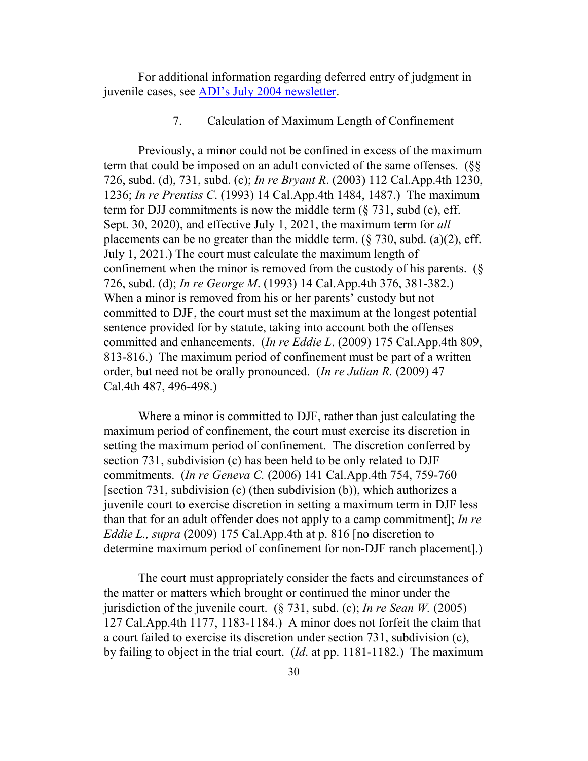For additional information regarding deferred entry of judgment in juvenile cases, see [ADI's July 2004 newsletter.](http://www.adi-sandiego.com/news_alerts/pdfs/bef2005/2004_july.pdf)

#### 7. Calculation of Maximum Length of Confinement

Previously, a minor could not be confined in excess of the maximum term that could be imposed on an adult convicted of the same offenses. (§§ 726, subd. (d), 731, subd. (c); *In re Bryant R*. (2003) 112 Cal.App.4th 1230, 1236; *In re Prentiss C*. (1993) 14 Cal.App.4th 1484, 1487.) The maximum term for DJJ commitments is now the middle term  $(\S 731, \S 1)$ , subd (c), eff. Sept. 30, 2020), and effective July 1, 2021, the maximum term for *all* placements can be no greater than the middle term.  $(\frac{8}{30}$ , subd. (a)(2), eff. July 1, 2021.) The court must calculate the maximum length of confinement when the minor is removed from the custody of his parents. (§ 726, subd. (d); *In re George M*. (1993) 14 Cal.App.4th 376, 381-382.) When a minor is removed from his or her parents' custody but not committed to DJF, the court must set the maximum at the longest potential sentence provided for by statute, taking into account both the offenses committed and enhancements. (*In re Eddie L*. (2009) 175 Cal.App.4th 809, 813-816.) The maximum period of confinement must be part of a written order, but need not be orally pronounced. (*In re Julian R.* (2009) 47 Cal.4th 487, 496-498.)

Where a minor is committed to DJF, rather than just calculating the maximum period of confinement, the court must exercise its discretion in setting the maximum period of confinement. The discretion conferred by section 731, subdivision (c) has been held to be only related to DJF commitments. (*In re Geneva C.* (2006) 141 Cal.App.4th 754, 759-760 [section 731, subdivision (c) (then subdivision (b)), which authorizes a juvenile court to exercise discretion in setting a maximum term in DJF less than that for an adult offender does not apply to a camp commitment]; *In re Eddie L., supra* (2009) 175 Cal.App.4th at p. 816 [no discretion to determine maximum period of confinement for non-DJF ranch placement].)

The court must appropriately consider the facts and circumstances of the matter or matters which brought or continued the minor under the jurisdiction of the juvenile court. (§ 731, subd. (c); *In re Sean W.* (2005) 127 Cal.App.4th 1177, 1183-1184.) A minor does not forfeit the claim that a court failed to exercise its discretion under section 731, subdivision (c), by failing to object in the trial court. (*Id*. at pp. 1181-1182.) The maximum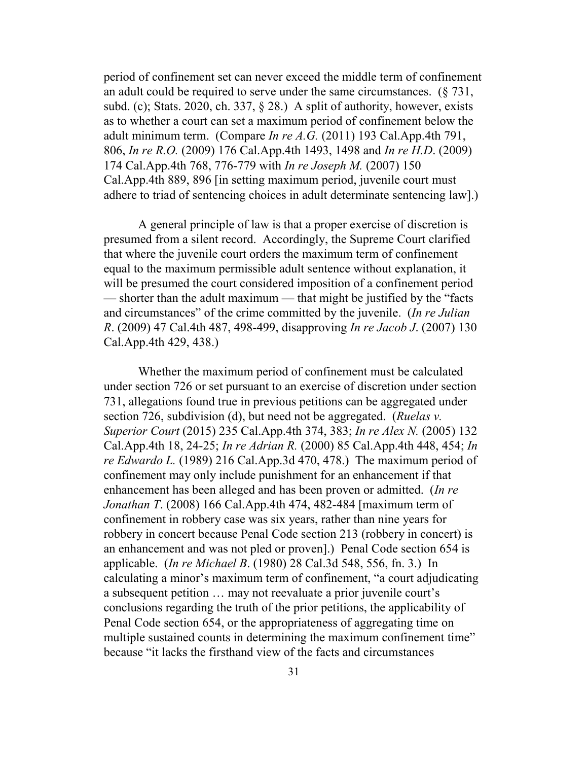period of confinement set can never exceed the middle term of confinement an adult could be required to serve under the same circumstances.  $(8731, 8731)$ subd. (c); Stats. 2020, ch. 337, § 28.) A split of authority, however, exists as to whether a court can set a maximum period of confinement below the adult minimum term. (Compare *In re A.G.* (2011) 193 Cal.App.4th 791, 806, *In re R.O.* (2009) 176 Cal.App.4th 1493, 1498 and *In re H.D*. (2009) 174 Cal.App.4th 768, 776-779 with *In re Joseph M.* (2007) 150 Cal.App.4th 889, 896 [in setting maximum period, juvenile court must adhere to triad of sentencing choices in adult determinate sentencing law].)

A general principle of law is that a proper exercise of discretion is presumed from a silent record. Accordingly, the Supreme Court clarified that where the juvenile court orders the maximum term of confinement equal to the maximum permissible adult sentence without explanation, it will be presumed the court considered imposition of a confinement period — shorter than the adult maximum — that might be justified by the "facts and circumstances" of the crime committed by the juvenile. (*In re Julian R*. (2009) 47 Cal.4th 487, 498-499, disapproving *In re Jacob J*. (2007) 130 Cal.App.4th 429, 438.)

Whether the maximum period of confinement must be calculated under section 726 or set pursuant to an exercise of discretion under section 731, allegations found true in previous petitions can be aggregated under section 726, subdivision (d), but need not be aggregated. (*Ruelas v. Superior Court* (2015) 235 Cal.App.4th 374, 383; *In re Alex N.* (2005) 132 Cal.App.4th 18, 24-25; *In re Adrian R.* (2000) 85 Cal.App.4th 448, 454; *In re Edwardo L.* (1989) 216 Cal.App.3d 470, 478.) The maximum period of confinement may only include punishment for an enhancement if that enhancement has been alleged and has been proven or admitted. (*In re Jonathan T*. (2008) 166 Cal.App.4th 474, 482-484 [maximum term of confinement in robbery case was six years, rather than nine years for robbery in concert because Penal Code section 213 (robbery in concert) is an enhancement and was not pled or proven].) Penal Code section 654 is applicable. (*In re Michael B*. (1980) 28 Cal.3d 548, 556, fn. 3.) In calculating a minor's maximum term of confinement, "a court adjudicating a subsequent petition … may not reevaluate a prior juvenile court's conclusions regarding the truth of the prior petitions, the applicability of Penal Code section 654, or the appropriateness of aggregating time on multiple sustained counts in determining the maximum confinement time" because "it lacks the firsthand view of the facts and circumstances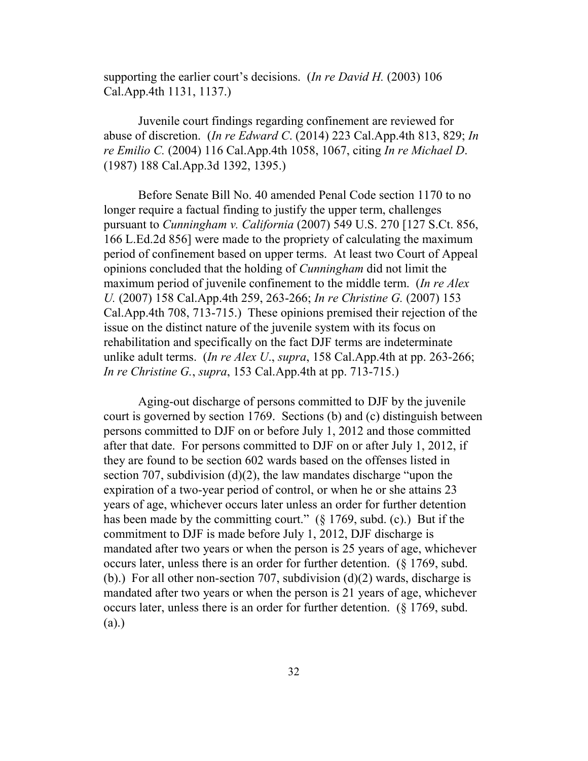supporting the earlier court's decisions. (*In re David H.* (2003) 106 Cal.App.4th 1131, 1137.)

Juvenile court findings regarding confinement are reviewed for abuse of discretion. (*In re Edward C*. (2014) 223 Cal.App.4th 813, 829; *In re Emilio C.* (2004) 116 Cal.App.4th 1058, 1067, citing *In re Michael D*. (1987) 188 Cal.App.3d 1392, 1395.)

Before Senate Bill No. 40 amended Penal Code section 1170 to no longer require a factual finding to justify the upper term, challenges pursuant to *Cunningham v. California* (2007) 549 U.S. 270 [127 S.Ct. 856, 166 L.Ed.2d 856] were made to the propriety of calculating the maximum period of confinement based on upper terms. At least two Court of Appeal opinions concluded that the holding of *Cunningham* did not limit the maximum period of juvenile confinement to the middle term. (*In re Alex U.* (2007) 158 Cal.App.4th 259, 263-266; *In re Christine G.* (2007) 153 Cal.App.4th 708, 713-715.) These opinions premised their rejection of the issue on the distinct nature of the juvenile system with its focus on rehabilitation and specifically on the fact DJF terms are indeterminate unlike adult terms. (*In re Alex U*., *supra*, 158 Cal.App.4th at pp. 263-266; *In re Christine G.*, *supra*, 153 Cal.App.4th at pp. 713-715.)

Aging-out discharge of persons committed to DJF by the juvenile court is governed by section 1769. Sections (b) and (c) distinguish between persons committed to DJF on or before July 1, 2012 and those committed after that date. For persons committed to DJF on or after July 1, 2012, if they are found to be section 602 wards based on the offenses listed in section 707, subdivision (d)(2), the law mandates discharge "upon the expiration of a two-year period of control, or when he or she attains 23 years of age, whichever occurs later unless an order for further detention has been made by the committing court."  $(\S 1769, \text{subd. (c)})$  But if the commitment to DJF is made before July 1, 2012, DJF discharge is mandated after two years or when the person is 25 years of age, whichever occurs later, unless there is an order for further detention. (§ 1769, subd. (b).) For all other non-section 707, subdivision  $(d)(2)$  wards, discharge is mandated after two years or when the person is 21 years of age, whichever occurs later, unless there is an order for further detention. (§ 1769, subd. (a).)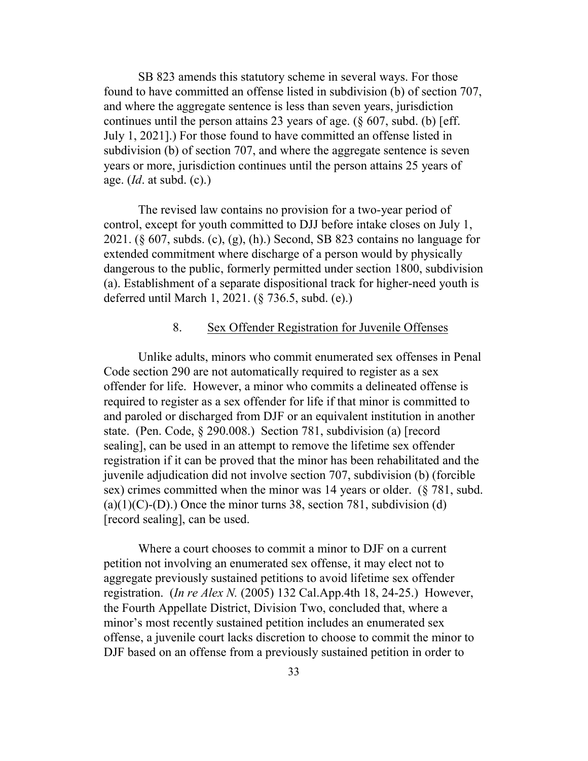SB 823 amends this statutory scheme in several ways. For those found to have committed an offense listed in subdivision (b) of section 707, and where the aggregate sentence is less than seven years, jurisdiction continues until the person attains 23 years of age.  $(\S 607, \S 60)$  [eff. July 1, 2021].) For those found to have committed an offense listed in subdivision (b) of section 707, and where the aggregate sentence is seven years or more, jurisdiction continues until the person attains 25 years of age. (*Id*. at subd. (c).)

The revised law contains no provision for a two-year period of control, except for youth committed to DJJ before intake closes on July 1, 2021. (§ 607, subds. (c), (g), (h).) Second, SB 823 contains no language for extended commitment where discharge of a person would by physically dangerous to the public, formerly permitted under section 1800, subdivision (a). Establishment of a separate dispositional track for higher-need youth is deferred until March 1, 2021. (§ 736.5, subd. (e).)

### 8. Sex Offender Registration for Juvenile Offenses

Unlike adults, minors who commit enumerated sex offenses in Penal Code section 290 are not automatically required to register as a sex offender for life. However, a minor who commits a delineated offense is required to register as a sex offender for life if that minor is committed to and paroled or discharged from DJF or an equivalent institution in another state. (Pen. Code, § 290.008.) Section 781, subdivision (a) [record sealing], can be used in an attempt to remove the lifetime sex offender registration if it can be proved that the minor has been rehabilitated and the juvenile adjudication did not involve section 707, subdivision (b) (forcible sex) crimes committed when the minor was 14 years or older. (§ 781, subd.  $(a)(1)(C)-(D)$ .) Once the minor turns 38, section 781, subdivision (d) [record sealing], can be used.

Where a court chooses to commit a minor to DJF on a current petition not involving an enumerated sex offense, it may elect not to aggregate previously sustained petitions to avoid lifetime sex offender registration. (*In re Alex N.* (2005) 132 Cal.App.4th 18, 24-25.) However, the Fourth Appellate District, Division Two, concluded that, where a minor's most recently sustained petition includes an enumerated sex offense, a juvenile court lacks discretion to choose to commit the minor to DJF based on an offense from a previously sustained petition in order to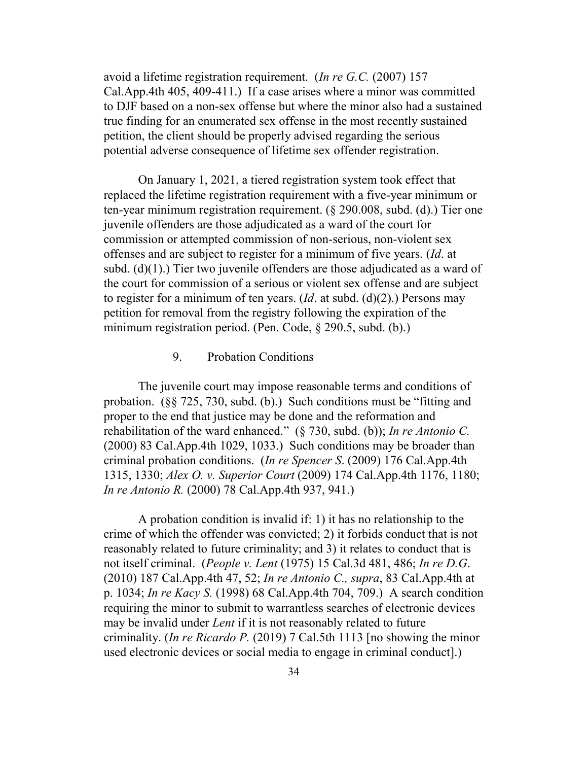avoid a lifetime registration requirement. (*In re G.C.* (2007) 157 Cal.App.4th 405, 409-411.) If a case arises where a minor was committed to DJF based on a non-sex offense but where the minor also had a sustained true finding for an enumerated sex offense in the most recently sustained petition, the client should be properly advised regarding the serious potential adverse consequence of lifetime sex offender registration.

On January 1, 2021, a tiered registration system took effect that replaced the lifetime registration requirement with a five-year minimum or ten-year minimum registration requirement. (§ 290.008, subd. (d).) Tier one juvenile offenders are those adjudicated as a ward of the court for commission or attempted commission of non-serious, non-violent sex offenses and are subject to register for a minimum of five years. (*Id*. at subd.  $(d)(1)$ .) Tier two juvenile offenders are those adjudicated as a ward of the court for commission of a serious or violent sex offense and are subject to register for a minimum of ten years. (*Id*. at subd. (d)(2).) Persons may petition for removal from the registry following the expiration of the minimum registration period. (Pen. Code, § 290.5, subd. (b).)

### 9. Probation Conditions

The juvenile court may impose reasonable terms and conditions of probation. (§§ 725, 730, subd. (b).) Such conditions must be "fitting and proper to the end that justice may be done and the reformation and rehabilitation of the ward enhanced." (§ 730, subd. (b)); *In re Antonio C.* (2000) 83 Cal.App.4th 1029, 1033.) Such conditions may be broader than criminal probation conditions. (*In re Spencer S*. (2009) 176 Cal.App.4th 1315, 1330; *Alex O. v. Superior Court* (2009) 174 Cal.App.4th 1176, 1180; *In re Antonio R.* (2000) 78 Cal.App.4th 937, 941.)

A probation condition is invalid if: 1) it has no relationship to the crime of which the offender was convicted; 2) it forbids conduct that is not reasonably related to future criminality; and 3) it relates to conduct that is not itself criminal. (*People v. Lent* (1975) 15 Cal.3d 481, 486; *In re D.G*. (2010) 187 Cal.App.4th 47, 52; *In re Antonio C., supra*, 83 Cal.App.4th at p. 1034; *In re Kacy S.* (1998) 68 Cal.App.4th 704, 709.) A search condition requiring the minor to submit to warrantless searches of electronic devices may be invalid under *Lent* if it is not reasonably related to future criminality. (*In re Ricardo P.* (2019) 7 Cal.5th 1113 [no showing the minor used electronic devices or social media to engage in criminal conduct].)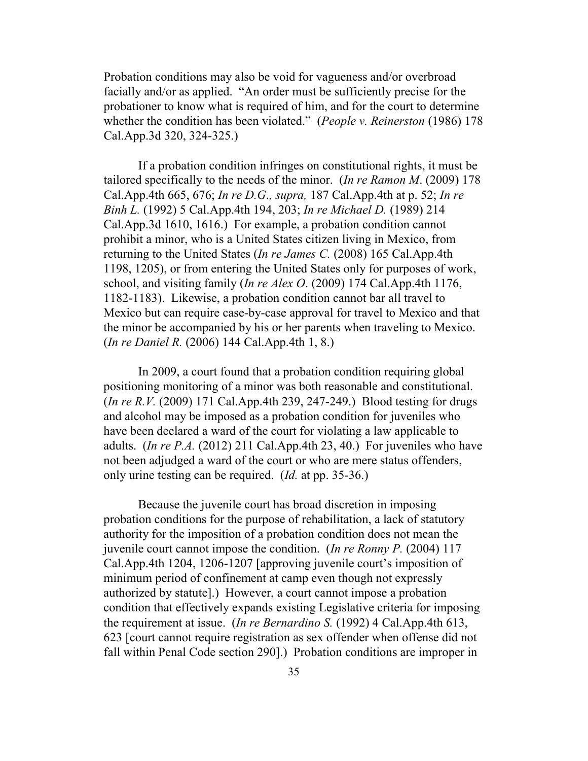Probation conditions may also be void for vagueness and/or overbroad facially and/or as applied. "An order must be sufficiently precise for the probationer to know what is required of him, and for the court to determine whether the condition has been violated." (*People v. Reinerston* (1986) 178 Cal.App.3d 320, 324-325.)

If a probation condition infringes on constitutional rights, it must be tailored specifically to the needs of the minor. (*In re Ramon M*. (2009) 178 Cal.App.4th 665, 676; *In re D.G*.*, supra,* 187 Cal.App.4th at p. 52; *In re Binh L.* (1992) 5 Cal.App.4th 194, 203; *In re Michael D.* (1989) 214 Cal.App.3d 1610, 1616.) For example, a probation condition cannot prohibit a minor, who is a United States citizen living in Mexico, from returning to the United States (*In re James C.* (2008) 165 Cal.App.4th 1198, 1205), or from entering the United States only for purposes of work, school, and visiting family (*In re Alex O*. (2009) 174 Cal.App.4th 1176, 1182-1183). Likewise, a probation condition cannot bar all travel to Mexico but can require case-by-case approval for travel to Mexico and that the minor be accompanied by his or her parents when traveling to Mexico. (*In re Daniel R.* (2006) 144 Cal.App.4th 1, 8.)

In 2009, a court found that a probation condition requiring global positioning monitoring of a minor was both reasonable and constitutional. (*In re R.V.* (2009) 171 Cal.App.4th 239, 247-249.) Blood testing for drugs and alcohol may be imposed as a probation condition for juveniles who have been declared a ward of the court for violating a law applicable to adults. (*In re P.A.* (2012) 211 Cal.App.4th 23, 40.) For juveniles who have not been adjudged a ward of the court or who are mere status offenders, only urine testing can be required. (*Id.* at pp. 35-36.)

Because the juvenile court has broad discretion in imposing probation conditions for the purpose of rehabilitation, a lack of statutory authority for the imposition of a probation condition does not mean the juvenile court cannot impose the condition. (*In re Ronny P.* (2004) 117 Cal.App.4th 1204, 1206-1207 [approving juvenile court's imposition of minimum period of confinement at camp even though not expressly authorized by statute].) However, a court cannot impose a probation condition that effectively expands existing Legislative criteria for imposing the requirement at issue. (*In re Bernardino S.* (1992) 4 Cal.App.4th 613, 623 [court cannot require registration as sex offender when offense did not fall within Penal Code section 290].) Probation conditions are improper in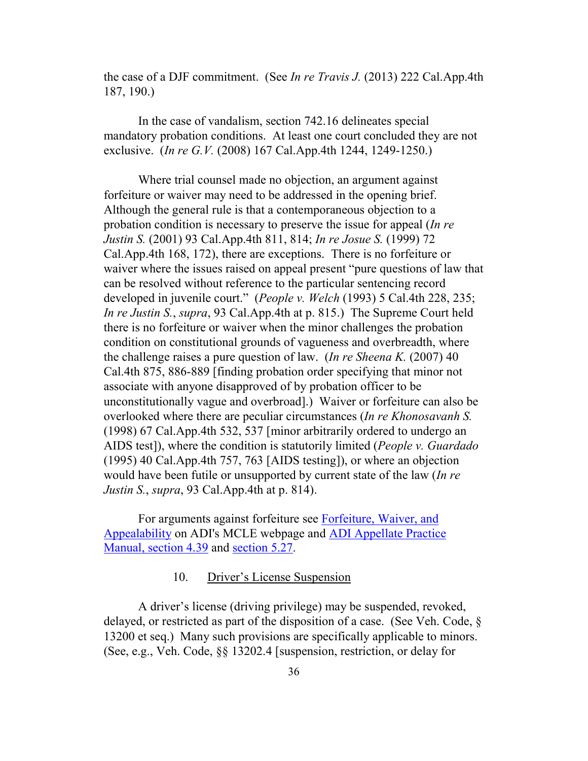the case of a DJF commitment. (See *In re Travis J.* (2013) 222 Cal.App.4th 187, 190.)

In the case of vandalism, section 742.16 delineates special mandatory probation conditions. At least one court concluded they are not exclusive. (*In re G.V.* (2008) 167 Cal.App.4th 1244, 1249-1250.)

Where trial counsel made no objection, an argument against forfeiture or waiver may need to be addressed in the opening brief. Although the general rule is that a contemporaneous objection to a probation condition is necessary to preserve the issue for appeal (*In re Justin S.* (2001) 93 Cal.App.4th 811, 814; *In re Josue S.* (1999) 72 Cal.App.4th 168, 172), there are exceptions. There is no forfeiture or waiver where the issues raised on appeal present "pure questions of law that can be resolved without reference to the particular sentencing record developed in juvenile court." (*People v. Welch* (1993) 5 Cal.4th 228, 235; *In re Justin S.*, *supra*, 93 Cal.App.4th at p. 815.) The Supreme Court held there is no forfeiture or waiver when the minor challenges the probation condition on constitutional grounds of vagueness and overbreadth, where the challenge raises a pure question of law. (*In re Sheena K.* (2007) 40 Cal.4th 875, 886-889 [finding probation order specifying that minor not associate with anyone disapproved of by probation officer to be unconstitutionally vague and overbroad].) Waiver or forfeiture can also be overlooked where there are peculiar circumstances (*In re Khonosavanh S.* (1998) 67 Cal.App.4th 532, 537 [minor arbitrarily ordered to undergo an AIDS test]), where the condition is statutorily limited (*People v. Guardado* (1995) 40 Cal.App.4th 757, 763 [AIDS testing]), or where an objection would have been futile or unsupported by current state of the law (*In re Justin S.*, *supra*, 93 Cal.App.4th at p. 814).

For arguments against forfeiture see [Forfeiture, Waiver, and](http://www.adi-sandiego.com/practice/mcle/MCLE_Forfeiture_Waiver_Appealability_Materials_1.pdf)  [Appealability](http://www.adi-sandiego.com/practice/mcle/MCLE_Forfeiture_Waiver_Appealability_Materials_1.pdf) on ADI's MCLE webpage and [ADI Appellate Practice](http://www.adi-sandiego.com/panel/manual/Chapter_4_Issue_spotting.pdf#202007)  [Manual, section 4.39](http://www.adi-sandiego.com/panel/manual/Chapter_4_Issue_spotting.pdf#202007) and [section 5.27.](http://www.adi-sandiego.com/panel/manual/Chapter_5_Briefing.pdf#202007)

### 10. Driver's License Suspension

A driver's license (driving privilege) may be suspended, revoked, delayed, or restricted as part of the disposition of a case. (See Veh. Code, § 13200 et seq.) Many such provisions are specifically applicable to minors. (See, e.g., Veh. Code, §§ 13202.4 [suspension, restriction, or delay for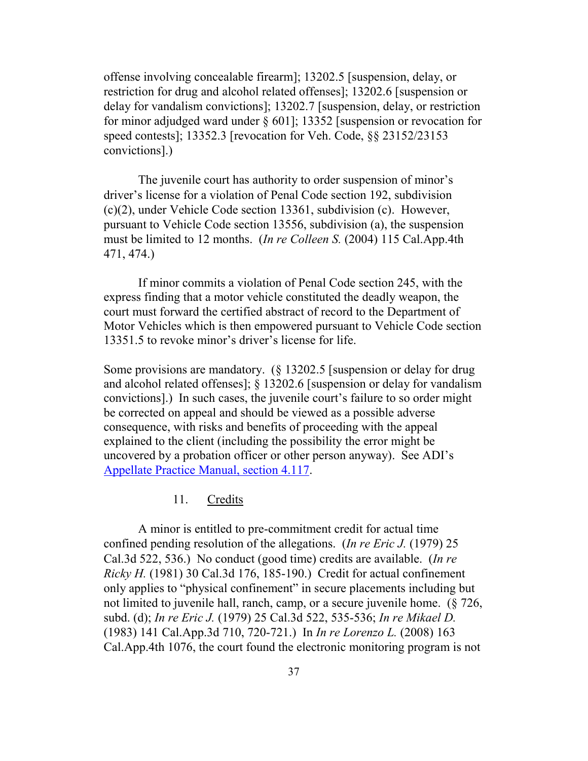offense involving concealable firearm]; 13202.5 [suspension, delay, or restriction for drug and alcohol related offenses]; 13202.6 [suspension or delay for vandalism convictions]; 13202.7 [suspension, delay, or restriction for minor adjudged ward under § 601]; 13352 [suspension or revocation for speed contests]; 13352.3 [revocation for Veh. Code, §§ 23152/23153 convictions].)

The juvenile court has authority to order suspension of minor's driver's license for a violation of Penal Code section 192, subdivision (c)(2), under Vehicle Code section 13361, subdivision (c). However, pursuant to Vehicle Code section 13556, subdivision (a), the suspension must be limited to 12 months. (*In re Colleen S.* (2004) 115 Cal.App.4th 471, 474.)

If minor commits a violation of Penal Code section 245, with the express finding that a motor vehicle constituted the deadly weapon, the court must forward the certified abstract of record to the Department of Motor Vehicles which is then empowered pursuant to Vehicle Code section 13351.5 to revoke minor's driver's license for life.

Some provisions are mandatory. (§ 13202.5 [suspension or delay for drug and alcohol related offenses]; § 13202.6 [suspension or delay for vandalism convictions].) In such cases, the juvenile court's failure to so order might be corrected on appeal and should be viewed as a possible adverse consequence, with risks and benefits of proceeding with the appeal explained to the client (including the possibility the error might be uncovered by a probation officer or other person anyway). See ADI's [Appellate Practice Manual, section 4.117.](http://www.adi-sandiego.com/panel/manual/Chapter_4_Issue_spotting.pdf)

11. Credits

A minor is entitled to pre-commitment credit for actual time confined pending resolution of the allegations. (*In re Eric J.* (1979) 25 Cal.3d 522, 536.) No conduct (good time) credits are available. (*In re Ricky H.* (1981) 30 Cal.3d 176, 185-190.) Credit for actual confinement only applies to "physical confinement" in secure placements including but not limited to juvenile hall, ranch, camp, or a secure juvenile home. (§ 726, subd. (d); *In re Eric J.* (1979) 25 Cal.3d 522, 535-536; *In re Mikael D.* (1983) 141 Cal.App.3d 710, 720-721.) In *In re Lorenzo L.* (2008) 163 Cal.App.4th 1076, the court found the electronic monitoring program is not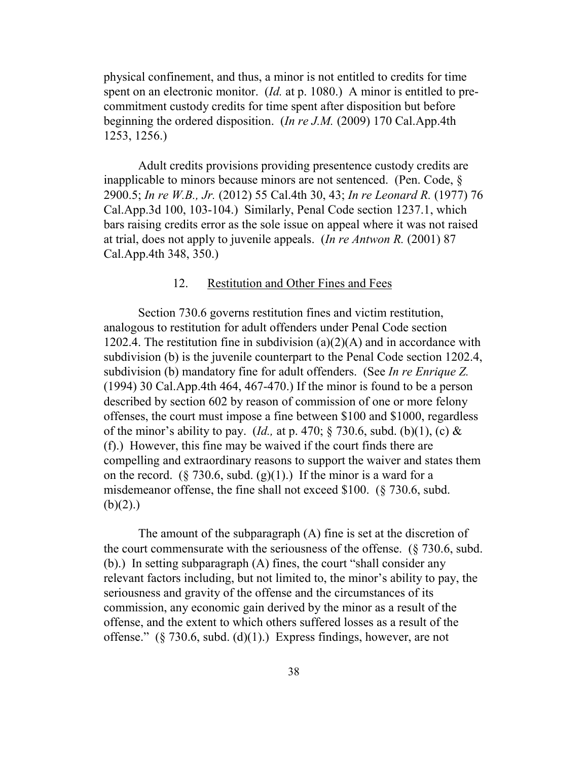physical confinement, and thus, a minor is not entitled to credits for time spent on an electronic monitor. (*Id.* at p. 1080.) A minor is entitled to precommitment custody credits for time spent after disposition but before beginning the ordered disposition. (*In re J.M.* (2009) 170 Cal.App.4th 1253, 1256.)

Adult credits provisions providing presentence custody credits are inapplicable to minors because minors are not sentenced. (Pen. Code, § 2900.5; *In re W.B., Jr.* (2012) 55 Cal.4th 30, 43; *In re Leonard R.* (1977) 76 Cal.App.3d 100, 103-104.) Similarly, Penal Code section 1237.1, which bars raising credits error as the sole issue on appeal where it was not raised at trial, does not apply to juvenile appeals. (*In re Antwon R.* (2001) 87 Cal.App.4th 348, 350.)

### 12. Restitution and Other Fines and Fees

Section 730.6 governs restitution fines and victim restitution, analogous to restitution for adult offenders under Penal Code section 1202.4. The restitution fine in subdivision  $(a)(2)(A)$  and in accordance with subdivision (b) is the juvenile counterpart to the Penal Code section 1202.4, subdivision (b) mandatory fine for adult offenders. (See *In re Enrique Z.* (1994) 30 Cal.App.4th 464, 467-470.) If the minor is found to be a person described by section 602 by reason of commission of one or more felony offenses, the court must impose a fine between \$100 and \$1000, regardless of the minor's ability to pay. (*Id.,* at p. 470; § 730.6, subd. (b)(1), (c) & (f).) However, this fine may be waived if the court finds there are compelling and extraordinary reasons to support the waiver and states them on the record. (§ 730.6, subd. (g)(1).) If the minor is a ward for a misdemeanor offense, the fine shall not exceed \$100. (§ 730.6, subd.  $(b)(2)$ .)

The amount of the subparagraph (A) fine is set at the discretion of the court commensurate with the seriousness of the offense. (§ 730.6, subd. (b).) In setting subparagraph (A) fines, the court "shall consider any relevant factors including, but not limited to, the minor's ability to pay, the seriousness and gravity of the offense and the circumstances of its commission, any economic gain derived by the minor as a result of the offense, and the extent to which others suffered losses as a result of the offense."  $(\S 730.6, \text{subd. (d)}(1))$  Express findings, however, are not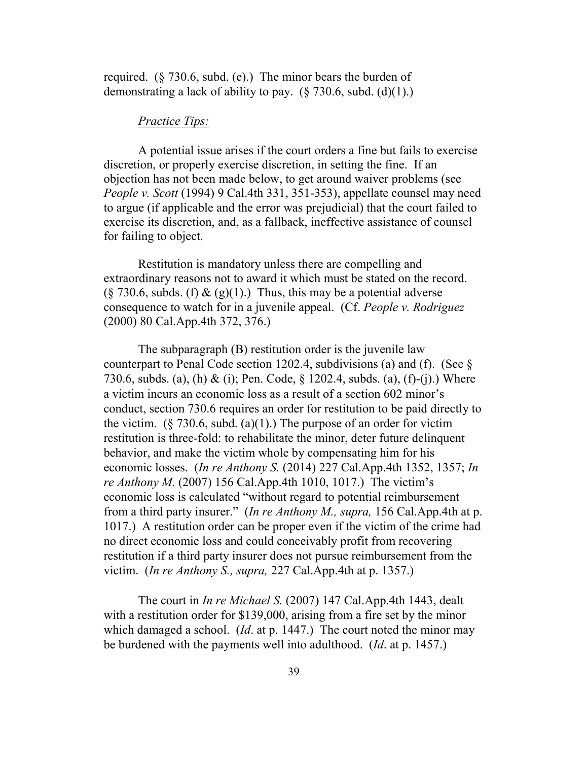required.  $(\S 730.6, \text{subd.} (e))$  The minor bears the burden of demonstrating a lack of ability to pay.  $(\S 730.6, \text{subd.} (d)(1))$ .

#### *Practice Tips:*

A potential issue arises if the court orders a fine but fails to exercise discretion, or properly exercise discretion, in setting the fine. If an objection has not been made below, to get around waiver problems (see *People v. Scott* (1994) 9 Cal.4th 331, 351-353), appellate counsel may need to argue (if applicable and the error was prejudicial) that the court failed to exercise its discretion, and, as a fallback, ineffective assistance of counsel for failing to object.

Restitution is mandatory unless there are compelling and extraordinary reasons not to award it which must be stated on the record.  $(\xi$  730.6, subds. (f) & (g)(1).) Thus, this may be a potential adverse consequence to watch for in a juvenile appeal. (Cf. *People v. Rodriguez* (2000) 80 Cal.App.4th 372, 376.)

The subparagraph (B) restitution order is the juvenile law counterpart to Penal Code section 1202.4, subdivisions (a) and (f). (See § 730.6, subds. (a), (h) & (i); Pen. Code, § 1202.4, subds. (a), (f)-(j).) Where a victim incurs an economic loss as a result of a section 602 minor's conduct, section 730.6 requires an order for restitution to be paid directly to the victim.  $(\xi$  730.6, subd. (a)(1).) The purpose of an order for victim restitution is three-fold: to rehabilitate the minor, deter future delinquent behavior, and make the victim whole by compensating him for his economic losses. (*In re Anthony S.* (2014) 227 Cal.App.4th 1352, 1357; *In re Anthony M.* (2007) 156 Cal.App.4th 1010, 1017.) The victim's economic loss is calculated "without regard to potential reimbursement from a third party insurer." (*In re Anthony M., supra,* 156 Cal.App.4th at p. 1017.) A restitution order can be proper even if the victim of the crime had no direct economic loss and could conceivably profit from recovering restitution if a third party insurer does not pursue reimbursement from the victim. (*In re Anthony S., supra,* 227 Cal.App.4th at p. 1357.)

The court in *In re Michael S.* (2007) 147 Cal.App.4th 1443, dealt with a restitution order for \$139,000, arising from a fire set by the minor which damaged a school. (*Id*. at p. 1447.) The court noted the minor may be burdened with the payments well into adulthood. (*Id*. at p. 1457.)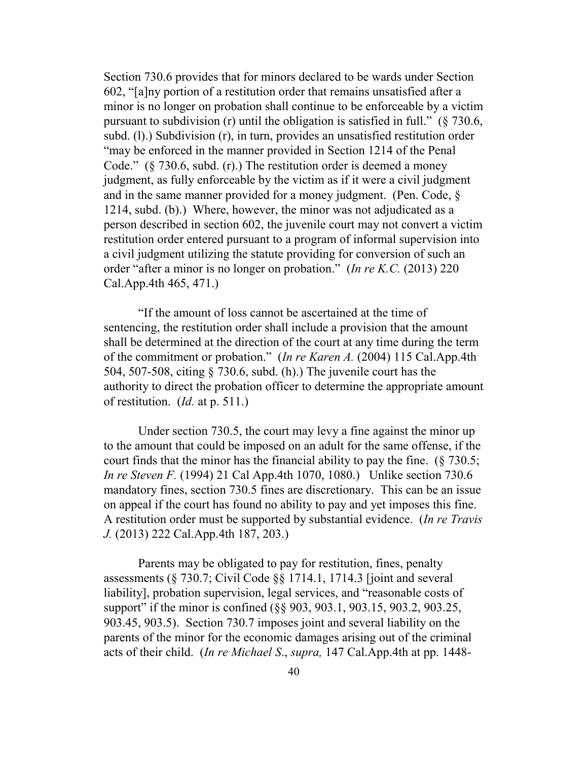Section 730.6 provides that for minors declared to be wards under Section 602, "[a]ny portion of a restitution order that remains unsatisfied after a minor is no longer on probation shall continue to be enforceable by a victim pursuant to subdivision (r) until the obligation is satisfied in full." (§ 730.6, subd. (l).) Subdivision (r), in turn, provides an unsatisfied restitution order "may be enforced in the manner provided in Section 1214 of the Penal Code." (§ 730.6, subd. (r).) The restitution order is deemed a money judgment, as fully enforceable by the victim as if it were a civil judgment and in the same manner provided for a money judgment. (Pen. Code, § 1214, subd. (b).) Where, however, the minor was not adjudicated as a person described in section 602, the juvenile court may not convert a victim restitution order entered pursuant to a program of informal supervision into a civil judgment utilizing the statute providing for conversion of such an order "after a minor is no longer on probation." (*In re K.C.* (2013) 220 Cal.App.4th 465, 471.)

"If the amount of loss cannot be ascertained at the time of sentencing, the restitution order shall include a provision that the amount shall be determined at the direction of the court at any time during the term of the commitment or probation." (*In re Karen A.* (2004) 115 Cal.App.4th 504, 507-508, citing § 730.6, subd. (h).) The juvenile court has the authority to direct the probation officer to determine the appropriate amount of restitution. (*Id.* at p. 511.)

Under section 730.5, the court may levy a fine against the minor up to the amount that could be imposed on an adult for the same offense, if the court finds that the minor has the financial ability to pay the fine. (§ 730.5; *In re Steven F.* (1994) 21 Cal App.4th 1070, 1080.) Unlike section 730.6 mandatory fines, section 730.5 fines are discretionary. This can be an issue on appeal if the court has found no ability to pay and yet imposes this fine. A restitution order must be supported by substantial evidence. (*In re Travis J.* (2013) 222 Cal.App.4th 187, 203.)

Parents may be obligated to pay for restitution, fines, penalty assessments (§ 730.7; Civil Code §§ 1714.1, 1714.3 [joint and several liability], probation supervision, legal services, and "reasonable costs of support" if the minor is confined (§§ 903, 903.1, 903.15, 903.2, 903.25, 903.45, 903.5). Section 730.7 imposes joint and several liability on the parents of the minor for the economic damages arising out of the criminal acts of their child. (*In re Michael S*., *supra,* 147 Cal.App.4th at pp. 1448-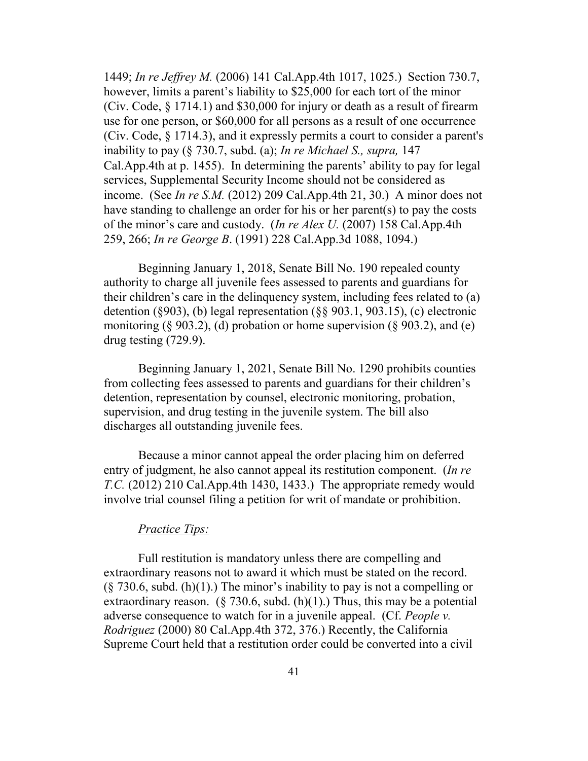1449; *In re Jeffrey M.* (2006) 141 Cal.App.4th 1017, 1025.) Section 730.7, however, limits a parent's liability to \$25,000 for each tort of the minor (Civ. Code, § 1714.1) and \$30,000 for injury or death as a result of firearm use for one person, or \$60,000 for all persons as a result of one occurrence (Civ. Code, § 1714.3), and it expressly permits a court to consider a parent's inability to pay (§ 730.7, subd. (a); *In re Michael S., supra,* 147 Cal.App.4th at p. 1455). In determining the parents' ability to pay for legal services, Supplemental Security Income should not be considered as income. (See *In re S.M.* (2012) 209 Cal.App.4th 21, 30.) A minor does not have standing to challenge an order for his or her parent(s) to pay the costs of the minor's care and custody. (*In re Alex U.* (2007) 158 Cal.App.4th 259, 266; *In re George B*. (1991) 228 Cal.App.3d 1088, 1094.)

Beginning January 1, 2018, Senate Bill No. 190 repealed county authority to charge all juvenile fees assessed to parents and guardians for their children's care in the delinquency system, including fees related to (a) detention (§903), (b) legal representation (§§ 903.1, 903.15), (c) electronic monitoring (§ 903.2), (d) probation or home supervision (§ 903.2), and (e) drug testing (729.9).

Beginning January 1, 2021, Senate Bill No. 1290 prohibits counties from collecting fees assessed to parents and guardians for their children's detention, representation by counsel, electronic monitoring, probation, supervision, and drug testing in the juvenile system. The bill also discharges all outstanding juvenile fees.

Because a minor cannot appeal the order placing him on deferred entry of judgment, he also cannot appeal its restitution component. (*In re T.C.* (2012) 210 Cal.App.4th 1430, 1433.) The appropriate remedy would involve trial counsel filing a petition for writ of mandate or prohibition.

#### *Practice Tips:*

Full restitution is mandatory unless there are compelling and extraordinary reasons not to award it which must be stated on the record.  $(\xi$  730.6, subd. (h)(1).) The minor's inability to pay is not a compelling or extraordinary reason. (§ 730.6, subd. (h)(1).) Thus, this may be a potential adverse consequence to watch for in a juvenile appeal. (Cf. *People v. Rodriguez* (2000) 80 Cal.App.4th 372, 376.) Recently, the California Supreme Court held that a restitution order could be converted into a civil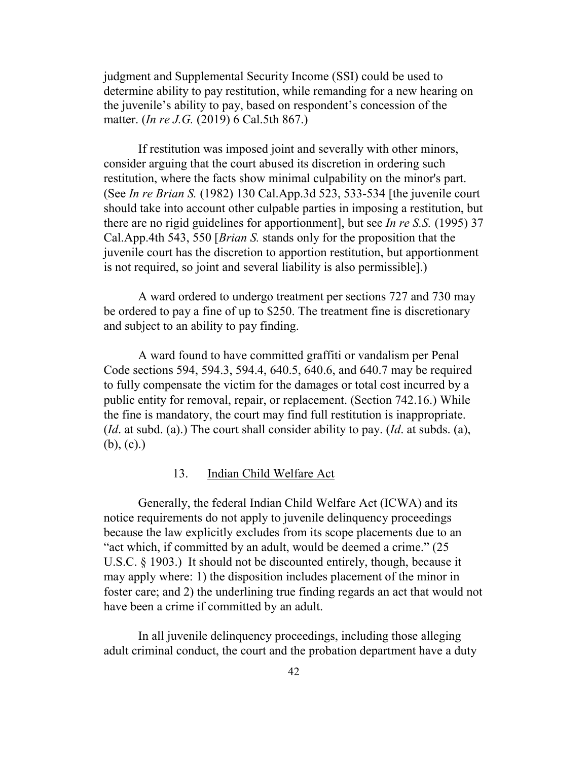judgment and Supplemental Security Income (SSI) could be used to determine ability to pay restitution, while remanding for a new hearing on the juvenile's ability to pay, based on respondent's concession of the matter. (*In re J.G.* (2019) 6 Cal.5th 867.)

If restitution was imposed joint and severally with other minors, consider arguing that the court abused its discretion in ordering such restitution, where the facts show minimal culpability on the minor's part. (See *In re Brian S.* (1982) 130 Cal.App.3d 523, 533-534 [the juvenile court should take into account other culpable parties in imposing a restitution, but there are no rigid guidelines for apportionment], but see *In re S.S.* (1995) 37 Cal.App.4th 543, 550 [*Brian S.* stands only for the proposition that the juvenile court has the discretion to apportion restitution, but apportionment is not required, so joint and several liability is also permissible].)

A ward ordered to undergo treatment per sections 727 and 730 may be ordered to pay a fine of up to \$250. The treatment fine is discretionary and subject to an ability to pay finding.

A ward found to have committed graffiti or vandalism per Penal Code sections 594, 594.3, 594.4, 640.5, 640.6, and 640.7 may be required to fully compensate the victim for the damages or total cost incurred by a public entity for removal, repair, or replacement. (Section 742.16.) While the fine is mandatory, the court may find full restitution is inappropriate. (*Id*. at subd. (a).) The court shall consider ability to pay. (*Id*. at subds. (a), (b), (c).)

#### 13. Indian Child Welfare Act

Generally, the federal Indian Child Welfare Act (ICWA) and its notice requirements do not apply to juvenile delinquency proceedings because the law explicitly excludes from its scope placements due to an "act which, if committed by an adult, would be deemed a crime." (25 U.S.C. § 1903.) It should not be discounted entirely, though, because it may apply where: 1) the disposition includes placement of the minor in foster care; and 2) the underlining true finding regards an act that would not have been a crime if committed by an adult.

In all juvenile delinquency proceedings, including those alleging adult criminal conduct, the court and the probation department have a duty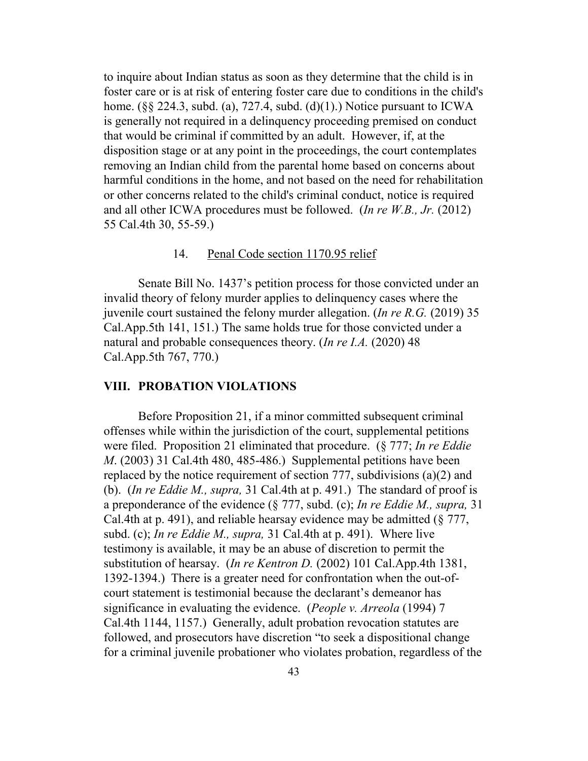to inquire about Indian status as soon as they determine that the child is in foster care or is at risk of entering foster care due to conditions in the child's home. ( $\S$ § 224.3, subd. (a), 727.4, subd. (d)(1).) Notice pursuant to ICWA is generally not required in a delinquency proceeding premised on conduct that would be criminal if committed by an adult. However, if, at the disposition stage or at any point in the proceedings, the court contemplates removing an Indian child from the parental home based on concerns about harmful conditions in the home, and not based on the need for rehabilitation or other concerns related to the child's criminal conduct, notice is required and all other ICWA procedures must be followed. (*In re W.B., Jr.* (2012) 55 Cal.4th 30, 55-59.)

#### 14. Penal Code section 1170.95 relief

Senate Bill No. 1437's petition process for those convicted under an invalid theory of felony murder applies to delinquency cases where the juvenile court sustained the felony murder allegation. (*In re R.G.* (2019) 35 Cal.App.5th 141, 151.) The same holds true for those convicted under a natural and probable consequences theory. (*In re I.A.* (2020) 48 Cal.App.5th 767, 770.)

#### **VIII. PROBATION VIOLATIONS**

Before Proposition 21, if a minor committed subsequent criminal offenses while within the jurisdiction of the court, supplemental petitions were filed. Proposition 21 eliminated that procedure. (§ 777; *In re Eddie M*. (2003) 31 Cal.4th 480, 485-486.) Supplemental petitions have been replaced by the notice requirement of section 777, subdivisions (a)(2) and (b). (*In re Eddie M., supra,* 31 Cal.4th at p. 491.) The standard of proof is a preponderance of the evidence (§ 777, subd. (c); *In re Eddie M., supra,* 31 Cal.4th at p. 491), and reliable hearsay evidence may be admitted (§ 777, subd. (c); *In re Eddie M., supra,* 31 Cal.4th at p. 491). Where live testimony is available, it may be an abuse of discretion to permit the substitution of hearsay. (*In re Kentron D.* (2002) 101 Cal.App.4th 1381, 1392-1394.) There is a greater need for confrontation when the out-ofcourt statement is testimonial because the declarant's demeanor has significance in evaluating the evidence. (*People v. Arreola* (1994) 7 Cal.4th 1144, 1157.) Generally, adult probation revocation statutes are followed, and prosecutors have discretion "to seek a dispositional change for a criminal juvenile probationer who violates probation, regardless of the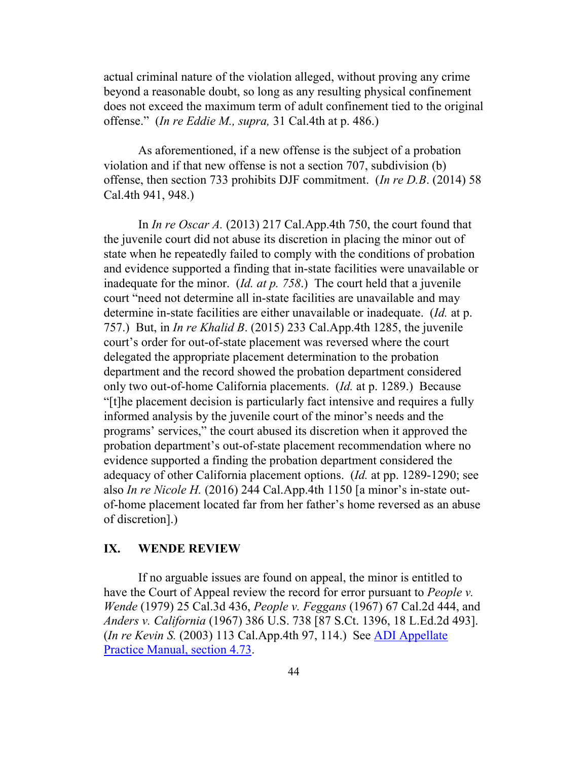actual criminal nature of the violation alleged, without proving any crime beyond a reasonable doubt, so long as any resulting physical confinement does not exceed the maximum term of adult confinement tied to the original offense." (*In re Eddie M., supra,* 31 Cal.4th at p. 486.)

As aforementioned, if a new offense is the subject of a probation violation and if that new offense is not a section 707, subdivision (b) offense, then section 733 prohibits DJF commitment. (*In re D.B*. (2014) 58 Cal.4th 941, 948.)

In *In re Oscar A.* (2013) 217 Cal.App.4th 750, the court found that the juvenile court did not abuse its discretion in placing the minor out of state when he repeatedly failed to comply with the conditions of probation and evidence supported a finding that in-state facilities were unavailable or inadequate for the minor. (*Id. at p. 758*.) The court held that a juvenile court "need not determine all in-state facilities are unavailable and may determine in-state facilities are either unavailable or inadequate. (*Id.* at p. 757.) But, in *In re Khalid B*. (2015) 233 Cal.App.4th 1285, the juvenile court's order for out-of-state placement was reversed where the court delegated the appropriate placement determination to the probation department and the record showed the probation department considered only two out-of-home California placements. (*Id.* at p. 1289.) Because "[t]he placement decision is particularly fact intensive and requires a fully informed analysis by the juvenile court of the minor's needs and the programs' services," the court abused its discretion when it approved the probation department's out-of-state placement recommendation where no evidence supported a finding the probation department considered the adequacy of other California placement options. (*Id.* at pp. 1289-1290; see also *In re Nicole H.* (2016) 244 Cal.App.4th 1150 [a minor's in-state outof-home placement located far from her father's home reversed as an abuse of discretion].)

### **IX. WENDE REVIEW**

If no arguable issues are found on appeal, the minor is entitled to have the Court of Appeal review the record for error pursuant to *People v. Wende* (1979) 25 Cal.3d 436, *People v. Feggans* (1967) 67 Cal.2d 444, and *Anders v. California* (1967) 386 U.S. 738 [87 S.Ct. 1396, 18 L.Ed.2d 493]. (*In re Kevin S.* (2003) 113 Cal.App.4th 97, 114.) See [ADI Appellate](http://www.adi-sandiego.com/panel/manual/Chapter_4_Issue_spotting.pdf) [Practice Manual, section 4.73.](http://www.adi-sandiego.com/panel/manual/Chapter_4_Issue_spotting.pdf)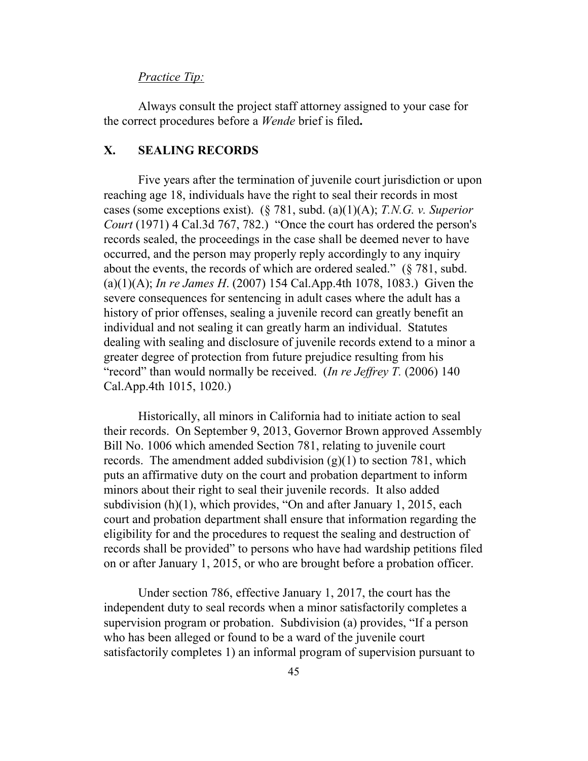### *Practice Tip:*

Always consult the project staff attorney assigned to your case for the correct procedures before a *Wende* brief is filed**.** 

## **X. SEALING RECORDS**

Five years after the termination of juvenile court jurisdiction or upon reaching age 18, individuals have the right to seal their records in most cases (some exceptions exist). (§ 781, subd. (a)(1)(A); *T.N.G. v. Superior Court* (1971) 4 Cal.3d 767, 782.) "Once the court has ordered the person's records sealed, the proceedings in the case shall be deemed never to have occurred, and the person may properly reply accordingly to any inquiry about the events, the records of which are ordered sealed." (§ 781, subd. (a)(1)(A); *In re James H*. (2007) 154 Cal.App.4th 1078, 1083.) Given the severe consequences for sentencing in adult cases where the adult has a history of prior offenses, sealing a juvenile record can greatly benefit an individual and not sealing it can greatly harm an individual. Statutes dealing with sealing and disclosure of juvenile records extend to a minor a greater degree of protection from future prejudice resulting from his "record" than would normally be received. (*In re Jeffrey T.* (2006) 140 Cal.App.4th 1015, 1020.)

Historically, all minors in California had to initiate action to seal their records. On September 9, 2013, Governor Brown approved Assembly Bill No. 1006 which amended Section 781, relating to juvenile court records. The amendment added subdivision  $(g)(1)$  to section 781, which puts an affirmative duty on the court and probation department to inform minors about their right to seal their juvenile records. It also added subdivision (h)(1), which provides, "On and after January 1, 2015, each court and probation department shall ensure that information regarding the eligibility for and the procedures to request the sealing and destruction of records shall be provided" to persons who have had wardship petitions filed on or after January 1, 2015, or who are brought before a probation officer.

Under section 786, effective January 1, 2017, the court has the independent duty to seal records when a minor satisfactorily completes a supervision program or probation. Subdivision (a) provides, "If a person who has been alleged or found to be a ward of the juvenile court satisfactorily completes 1) an informal program of supervision pursuant to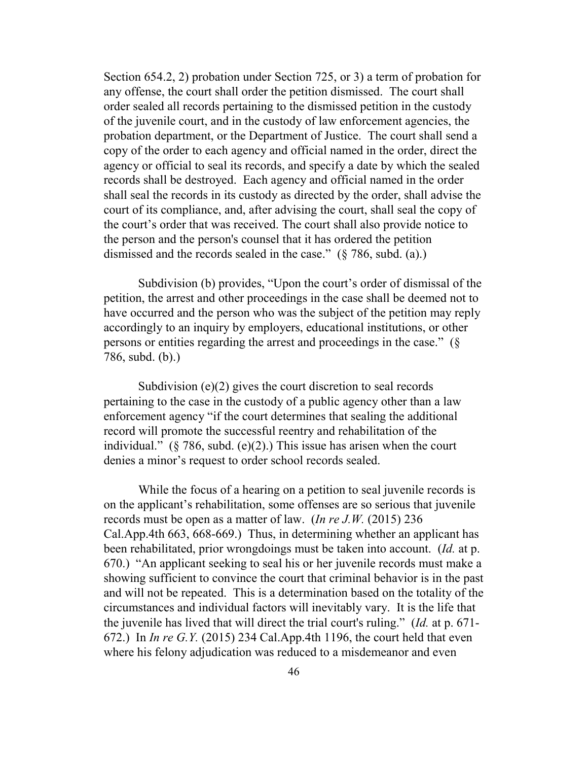Section 654.2, 2) probation under Section 725, or 3) a term of probation for any offense, the court shall order the petition dismissed. The court shall order sealed all records pertaining to the dismissed petition in the custody of the juvenile court, and in the custody of law enforcement agencies, the probation department, or the Department of Justice. The court shall send a copy of the order to each agency and official named in the order, direct the agency or official to seal its records, and specify a date by which the sealed records shall be destroyed. Each agency and official named in the order shall seal the records in its custody as directed by the order, shall advise the court of its compliance, and, after advising the court, shall seal the copy of the court's order that was received. The court shall also provide notice to the person and the person's counsel that it has ordered the petition dismissed and the records sealed in the case." (§ 786, subd. (a).)

Subdivision (b) provides, "Upon the court's order of dismissal of the petition, the arrest and other proceedings in the case shall be deemed not to have occurred and the person who was the subject of the petition may reply accordingly to an inquiry by employers, educational institutions, or other persons or entities regarding the arrest and proceedings in the case." (§ 786, subd. (b).)

Subdivision (e)(2) gives the court discretion to seal records pertaining to the case in the custody of a public agency other than a law enforcement agency "if the court determines that sealing the additional record will promote the successful reentry and rehabilitation of the individual."  $(\S 786, \text{subd.} (e)(2))$ . This issue has arisen when the court denies a minor's request to order school records sealed.

While the focus of a hearing on a petition to seal juvenile records is on the applicant's rehabilitation, some offenses are so serious that juvenile records must be open as a matter of law. (*In re J.W.* (2015) 236 Cal.App.4th 663, 668-669.) Thus, in determining whether an applicant has been rehabilitated, prior wrongdoings must be taken into account. (*Id.* at p. 670.) "An applicant seeking to seal his or her juvenile records must make a showing sufficient to convince the court that criminal behavior is in the past and will not be repeated. This is a determination based on the totality of the circumstances and individual factors will inevitably vary. It is the life that the juvenile has lived that will direct the trial court's ruling." (*Id.* at p. 671- 672.) In *In re G.Y.* (2015) 234 Cal.App.4th 1196, the court held that even where his felony adjudication was reduced to a misdemeanor and even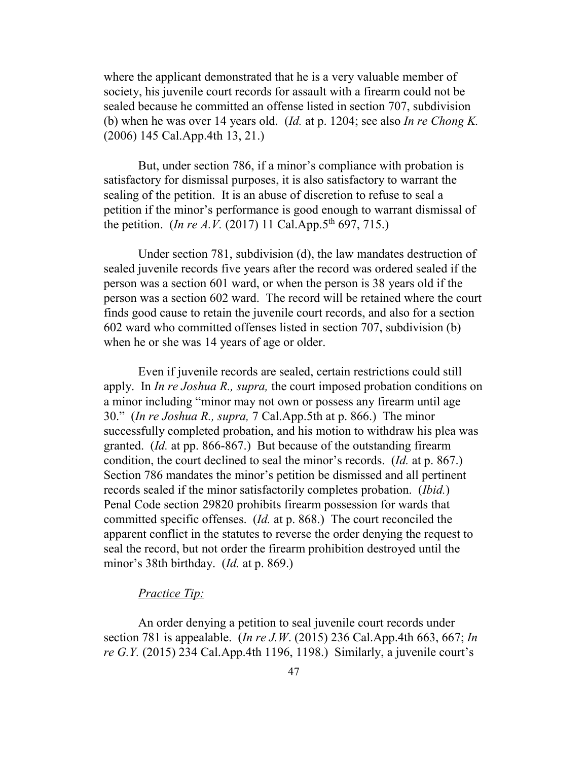where the applicant demonstrated that he is a very valuable member of society, his juvenile court records for assault with a firearm could not be sealed because he committed an offense listed in section 707, subdivision (b) when he was over 14 years old. (*Id.* at p. 1204; see also *In re Chong K.*  (2006) 145 Cal.App.4th 13, 21.)

But, under section 786, if a minor's compliance with probation is satisfactory for dismissal purposes, it is also satisfactory to warrant the sealing of the petition. It is an abuse of discretion to refuse to seal a petition if the minor's performance is good enough to warrant dismissal of the petition. (*In re A.V.* (2017) 11 Cal.App.5<sup>th</sup> 697, 715.)

Under section 781, subdivision (d), the law mandates destruction of sealed juvenile records five years after the record was ordered sealed if the person was a section 601 ward, or when the person is 38 years old if the person was a section 602 ward. The record will be retained where the court finds good cause to retain the juvenile court records, and also for a section 602 ward who committed offenses listed in section 707, subdivision (b) when he or she was 14 years of age or older.

Even if juvenile records are sealed, certain restrictions could still apply. In *In re Joshua R., supra,* the court imposed probation conditions on a minor including "minor may not own or possess any firearm until age 30." (*In re Joshua R., supra,* 7 Cal.App.5th at p. 866.) The minor successfully completed probation, and his motion to withdraw his plea was granted. (*Id.* at pp. 866-867.) But because of the outstanding firearm condition, the court declined to seal the minor's records. (*Id.* at p. 867.) Section 786 mandates the minor's petition be dismissed and all pertinent records sealed if the minor satisfactorily completes probation. (*Ibid.*) Penal Code section 29820 prohibits firearm possession for wards that committed specific offenses. (*Id.* at p. 868.) The court reconciled the apparent conflict in the statutes to reverse the order denying the request to seal the record, but not order the firearm prohibition destroyed until the minor's 38th birthday. (*Id.* at p. 869.)

### *Practice Tip:*

An order denying a petition to seal juvenile court records under section 781 is appealable. (*In re J.W*. (2015) 236 Cal.App.4th 663, 667; *In re G.Y.* (2015) 234 Cal.App.4th 1196, 1198.) Similarly, a juvenile court's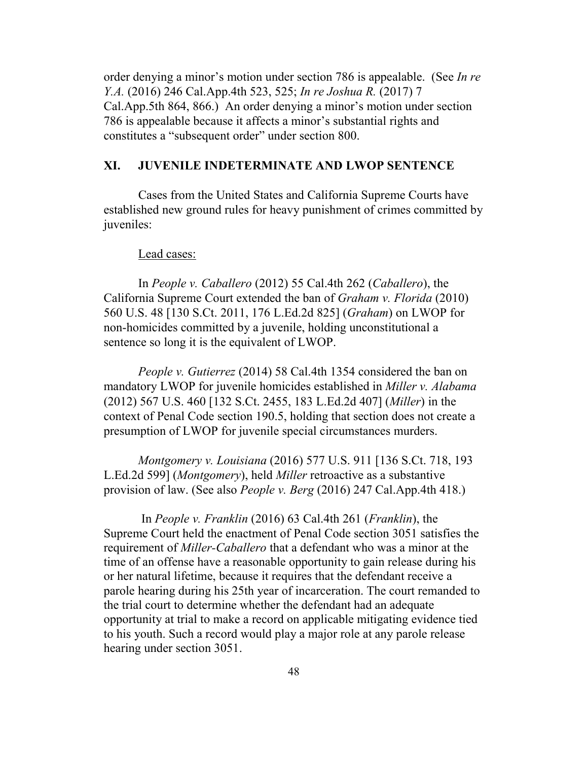order denying a minor's motion under section 786 is appealable. (See *In re Y.A.* (2016) 246 Cal.App.4th 523, 525; *In re Joshua R.* (2017) 7 Cal.App.5th 864, 866.) An order denying a minor's motion under section 786 is appealable because it affects a minor's substantial rights and constitutes a "subsequent order" under section 800.

### **XI. JUVENILE INDETERMINATE AND LWOP SENTENCE**

Cases from the United States and California Supreme Courts have established new ground rules for heavy punishment of crimes committed by juveniles:

#### Lead cases:

In *People v. Caballero* (2012) 55 Cal.4th 262 (*Caballero*), the California Supreme Court extended the ban of *Graham v. Florida* (2010) 560 U.S. 48 [130 S.Ct. 2011, 176 L.Ed.2d 825] (*Graham*) on LWOP for non-homicides committed by a juvenile, holding unconstitutional a sentence so long it is the equivalent of LWOP.

*People v. Gutierrez* (2014) 58 Cal.4th 1354 considered the ban on mandatory LWOP for juvenile homicides established in *Miller v. Alabama* (2012) 567 U.S. 460 [132 S.Ct. 2455, 183 L.Ed.2d 407] (*Miller*) in the context of Penal Code section 190.5, holding that section does not create a presumption of LWOP for juvenile special circumstances murders.

*Montgomery v. Louisiana* (2016) 577 U.S. 911 [136 S.Ct. 718, 193 L.Ed.2d 599] (*Montgomery*), held *Miller* retroactive as a substantive provision of law. (See also *People v. Berg* (2016) 247 Cal.App.4th 418.)

In *People v. Franklin* (2016) 63 Cal.4th 261 (*Franklin*), the Supreme Court held the enactment of Penal Code section 3051 satisfies the requirement of *Miller-Caballero* that a defendant who was a minor at the time of an offense have a reasonable opportunity to gain release during his or her natural lifetime, because it requires that the defendant receive a parole hearing during his 25th year of incarceration. The court remanded to the trial court to determine whether the defendant had an adequate opportunity at trial to make a record on applicable mitigating evidence tied to his youth. Such a record would play a major role at any parole release hearing under section 3051.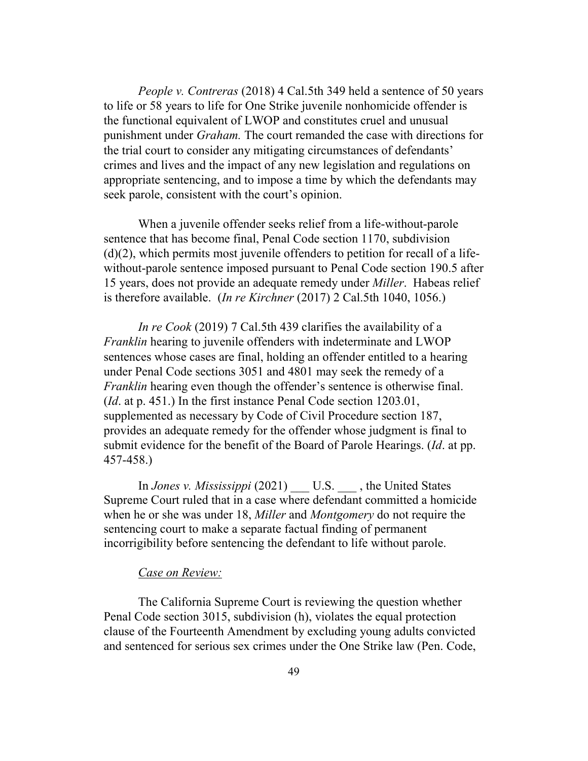*People v. Contreras* (2018) 4 Cal.5th 349 held a sentence of 50 years to life or 58 years to life for One Strike juvenile nonhomicide offender is the functional equivalent of LWOP and constitutes cruel and unusual punishment under *Graham.* The court remanded the case with directions for the trial court to consider any mitigating circumstances of defendants' crimes and lives and the impact of any new legislation and regulations on appropriate sentencing, and to impose a time by which the defendants may seek parole, consistent with the court's opinion.

When a juvenile offender seeks relief from a life-without-parole sentence that has become final, Penal Code section 1170, subdivision (d)(2), which permits most juvenile offenders to petition for recall of a lifewithout-parole sentence imposed pursuant to Penal Code section 190.5 after 15 years, does not provide an adequate remedy under *Miller*. Habeas relief is therefore available. (*In re Kirchner* (2017) 2 Cal.5th 1040, 1056.)

*In re Cook* (2019) 7 Cal.5th 439 clarifies the availability of a *Franklin* hearing to juvenile offenders with indeterminate and LWOP sentences whose cases are final, holding an offender entitled to a hearing under Penal Code sections 3051 and 4801 may seek the remedy of a *Franklin* hearing even though the offender's sentence is otherwise final. (*Id*. at p. 451.) In the first instance Penal Code section 1203.01, supplemented as necessary by Code of Civil Procedure section 187, provides an adequate remedy for the offender whose judgment is final to submit evidence for the benefit of the Board of Parole Hearings. (*Id*. at pp. 457-458.)

In *Jones v. Mississippi* (2021) \_\_\_ U.S. \_\_\_ , the United States Supreme Court ruled that in a case where defendant committed a homicide when he or she was under 18, *Miller* and *Montgomery* do not require the sentencing court to make a separate factual finding of permanent incorrigibility before sentencing the defendant to life without parole.

#### *Case on Review:*

The California Supreme Court is reviewing the question whether Penal Code section 3015, subdivision (h), violates the equal protection clause of the Fourteenth Amendment by excluding young adults convicted and sentenced for serious sex crimes under the One Strike law (Pen. Code,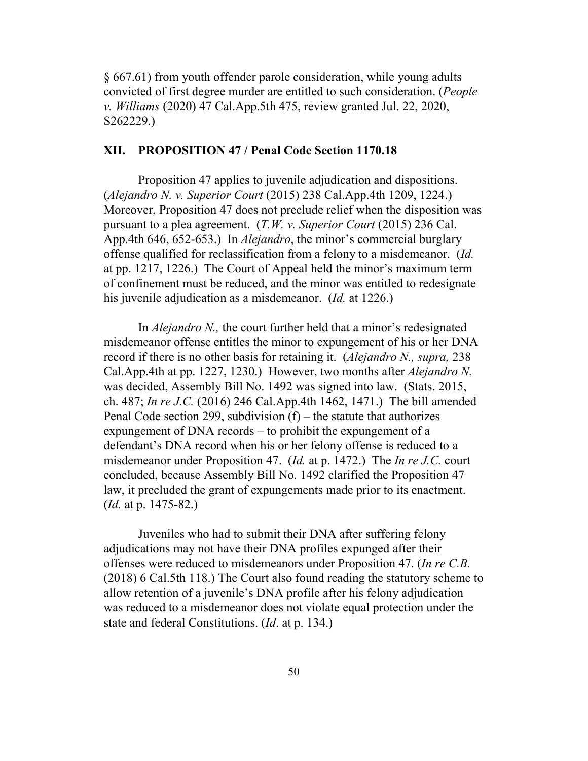§ 667.61) from youth offender parole consideration, while young adults convicted of first degree murder are entitled to such consideration. (*People v. Williams* (2020) 47 Cal.App.5th 475, review granted Jul. 22, 2020, S262229.)

### **XII. PROPOSITION 47 / Penal Code Section 1170.18**

Proposition 47 applies to juvenile adjudication and dispositions. (*Alejandro N. v. Superior Court* (2015) 238 Cal.App.4th 1209, 1224.) Moreover, Proposition 47 does not preclude relief when the disposition was pursuant to a plea agreement. (*T.W. v. Superior Court* (2015) 236 Cal. App.4th 646, 652-653.) In *Alejandro*, the minor's commercial burglary offense qualified for reclassification from a felony to a misdemeanor. (*Id.* at pp. 1217, 1226.) The Court of Appeal held the minor's maximum term of confinement must be reduced, and the minor was entitled to redesignate his juvenile adjudication as a misdemeanor. (*Id.* at 1226.)

In *Alejandro N.,* the court further held that a minor's redesignated misdemeanor offense entitles the minor to expungement of his or her DNA record if there is no other basis for retaining it. (*Alejandro N., supra,* 238 Cal.App.4th at pp. 1227, 1230.) However, two months after *Alejandro N.*  was decided, Assembly Bill No. 1492 was signed into law. (Stats. 2015, ch. 487; *In re J.C.* (2016) 246 Cal.App.4th 1462, 1471.) The bill amended Penal Code section 299, subdivision  $(f)$  – the statute that authorizes expungement of DNA records – to prohibit the expungement of a defendant's DNA record when his or her felony offense is reduced to a misdemeanor under Proposition 47. (*Id.* at p. 1472.) The *In re J.C.* court concluded, because Assembly Bill No. 1492 clarified the Proposition 47 law, it precluded the grant of expungements made prior to its enactment. (*Id.* at p. 1475-82.)

Juveniles who had to submit their DNA after suffering felony adjudications may not have their DNA profiles expunged after their offenses were reduced to misdemeanors under Proposition 47. (*In re C.B.* (2018) 6 Cal.5th 118.) The Court also found reading the statutory scheme to allow retention of a juvenile's DNA profile after his felony adjudication was reduced to a misdemeanor does not violate equal protection under the state and federal Constitutions. (*Id*. at p. 134.)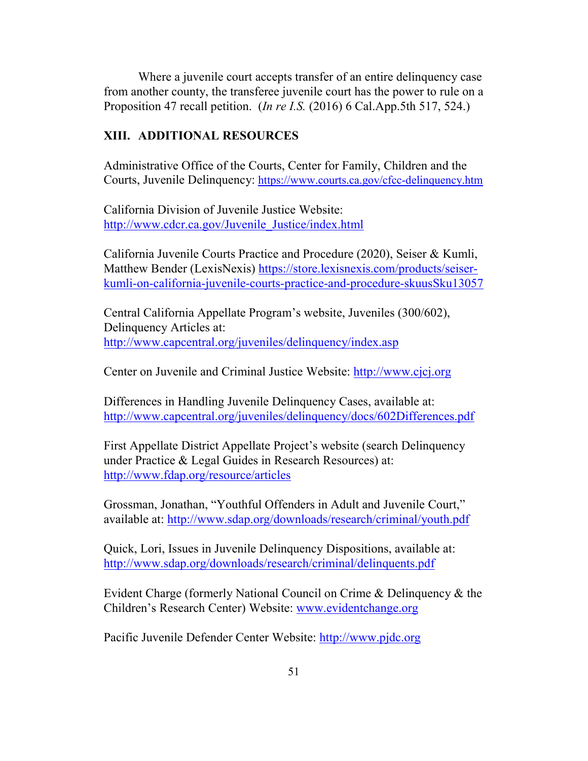Where a juvenile court accepts transfer of an entire delinquency case from another county, the transferee juvenile court has the power to rule on a Proposition 47 recall petition. (*In re I.S.* (2016) 6 Cal.App.5th 517, 524.)

### **XIII. ADDITIONAL RESOURCES**

Administrative Office of the Courts, Center for Family, Children and the Courts, Juvenile Delinquency:<https://www.courts.ca.gov/cfcc-delinquency.htm>

California Division of Juvenile Justice Website: [http://www.cdcr.ca.gov/Juvenile\\_Justice/index.html](http://www.cdcr.ca.gov/Juvenile_Justice/index.html)

California Juvenile Courts Practice and Procedure (2020), Seiser & Kumli, Matthew Bender (LexisNexis) [https://store.lexisnexis.com/products/seiser](https://store.lexisnexis.com/products/seiser-kumli-on-california-juvenile-courts-practice-and-procedure-skuusSku13057)[kumli-on-california-juvenile-courts-practice-and-procedure-skuusSku13057](https://store.lexisnexis.com/products/seiser-kumli-on-california-juvenile-courts-practice-and-procedure-skuusSku13057)

Central California Appellate Program's website, Juveniles (300/602), Delinquency Articles at: <http://www.capcentral.org/juveniles/delinquency/index.asp>

Center on Juvenile and Criminal Justice Website: [http://www.cjcj.org](http://www.cjcj.org/)

Differences in Handling Juvenile Delinquency Cases, available at: <http://www.capcentral.org/juveniles/delinquency/docs/602Differences.pdf>

First Appellate District Appellate Project's website (search Delinquency under Practice & Legal Guides in Research Resources) at: <http://www.fdap.org/resource/articles>

Grossman, Jonathan, "Youthful Offenders in Adult and Juvenile Court," available at:<http://www.sdap.org/downloads/research/criminal/youth.pdf>

Quick, Lori, Issues in Juvenile Delinquency Dispositions, available at: <http://www.sdap.org/downloads/research/criminal/delinquents.pdf>

Evident Charge (formerly National Council on Crime & Delinquency & the Children's Research Center) Website: [www.evidentchange.org](http://www.evidentchange.org/)

Pacific Juvenile Defender Center Website: [http://www.pjdc.org](http://www.pjdc.org/)